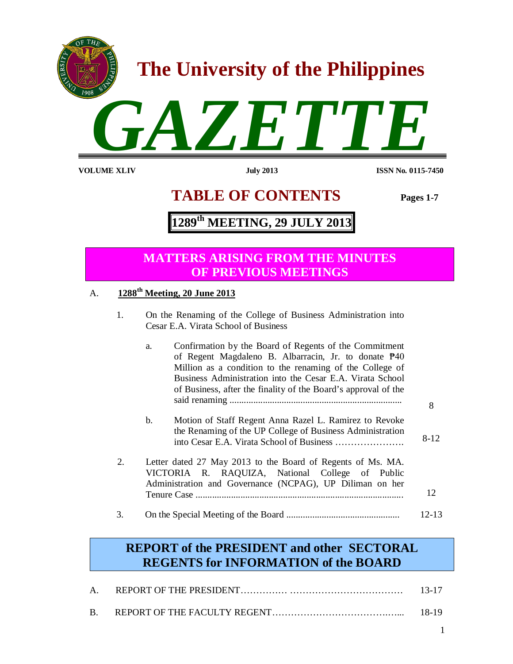

**VOLUME XLI**

**V July 2013 ISSN No. 0115-7450**

# **TABLE OF CONTENTS Pages 1-7**

# **1289 th MEETING, 29 JULY 2013**

## **MATTERS ARISING FROM THE MINUTES OF PREVIOUS MEETINGS**

## A. **1288th Meeting, 20 June 2013**

1. On the Renaming of the College of Business Administration into Cesar E.A. Virata School of Business

|    | a.             | Confirmation by the Board of Regents of the Commitment<br>of Regent Magdaleno B. Albarracin, Jr. to donate $\mathbb{P}40$<br>Million as a condition to the renaming of the College of<br>Business Administration into the Cesar E.A. Virata School<br>of Business, after the finality of the Board's approval of the |        |
|----|----------------|----------------------------------------------------------------------------------------------------------------------------------------------------------------------------------------------------------------------------------------------------------------------------------------------------------------------|--------|
|    |                |                                                                                                                                                                                                                                                                                                                      | 8      |
|    | $\mathbf{b}$ . | Motion of Staff Regent Anna Razel L. Ramirez to Revoke<br>the Renaming of the UP College of Business Administration                                                                                                                                                                                                  | $8-12$ |
| 2. |                | Letter dated 27 May 2013 to the Board of Regents of Ms. MA.<br>VICTORIA R. RAQUIZA, National College of Public<br>Administration and Governance (NCPAG), UP Diliman on her                                                                                                                                           | 12     |
|    |                |                                                                                                                                                                                                                                                                                                                      |        |
| 3. |                |                                                                                                                                                                                                                                                                                                                      | 12-13  |

## **REPORT of the PRESIDENT and other SECTORAL REGENTS for INFORMATION of the BOARD**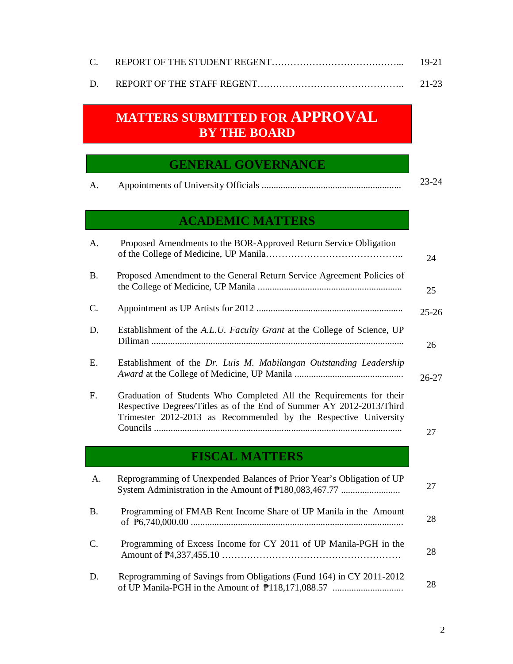|  | $19-21$ |
|--|---------|
|  |         |

D. REPORT OF THE STAFF REGENT……………………………………….. 21-23

# **MATTERS SUBMITTED FOR APPROVAL BY THE BOARD**

## **GENERAL GOVERNANCE**

# **ACADEMIC MATTERS**

| A.        | Proposed Amendments to the BOR-Approved Return Service Obligation                                                                                                                                              | 24        |
|-----------|----------------------------------------------------------------------------------------------------------------------------------------------------------------------------------------------------------------|-----------|
| <b>B.</b> | Proposed Amendment to the General Return Service Agreement Policies of                                                                                                                                         | 25        |
| C.        |                                                                                                                                                                                                                | $25 - 26$ |
| D.        | Establishment of the A.L.U. Faculty Grant at the College of Science, UP                                                                                                                                        | 26        |
| E.        | Establishment of the Dr. Luis M. Mabilangan Outstanding Leadership                                                                                                                                             | $26 - 27$ |
| F.        | Graduation of Students Who Completed All the Requirements for their<br>Respective Degrees/Titles as of the End of Summer AY 2012-2013/Third<br>Trimester 2012-2013 as Recommended by the Respective University | 27        |
|           | <b>FISCAL MATTERS</b>                                                                                                                                                                                          |           |
| A.        |                                                                                                                                                                                                                |           |
|           | Reprogramming of Unexpended Balances of Prior Year's Obligation of UP<br>System Administration in the Amount of P180,083,467.77                                                                                | 27        |
| <b>B.</b> | Programming of FMAB Rent Income Share of UP Manila in the Amount                                                                                                                                               | 28        |
| C.        | Programming of Excess Income for CY 2011 of UP Manila-PGH in the                                                                                                                                               | 28        |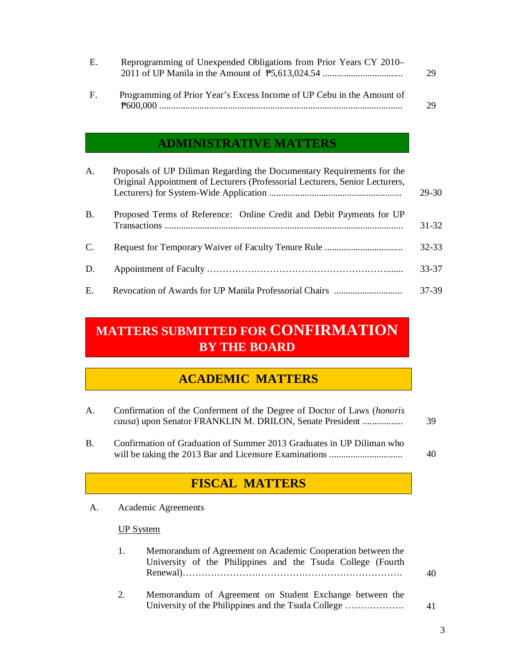| Е. | Reprogramming of Unexpended Obligations from Prior Years CY 2010– |  |  |  |  |  |  | 29                                      |  |  |  |  |  |  |  |
|----|-------------------------------------------------------------------|--|--|--|--|--|--|-----------------------------------------|--|--|--|--|--|--|--|
|    |                                                                   |  |  |  |  |  |  | $c \cdot m \cdot 1$ $l \cdot l \cdot c$ |  |  |  |  |  |  |  |

F. Programming of Prior Year's Excess Income of UP Cebu in the Amount of ₱600,000 ....................................................................................................... 29

## **ADMINISTRATIVE MATTERS**

| A.          | Proposals of UP Diliman Regarding the Documentary Requirements for the<br>Original Appointment of Lecturers (Professorial Lecturers, Senior Lecturers, | $29-30$   |
|-------------|--------------------------------------------------------------------------------------------------------------------------------------------------------|-----------|
| <b>B.</b>   | Proposed Terms of Reference: Online Credit and Debit Payments for UP                                                                                   | $31 - 32$ |
| $C_{\cdot}$ |                                                                                                                                                        | $32 - 33$ |
| D.          |                                                                                                                                                        | 33-37     |
| Ε.          |                                                                                                                                                        | 37-39     |

# **MATTERS SUBMITTED FOR CONFIRMATION BY THE BOARD**

## **ACADEMIC MATTERS**

| A.             | Confirmation of the Conferment of the Degree of Doctor of Laws ( <i>honoris</i><br>causa) upon Senator FRANKLIN M. DRILON, Senate President | 39 |
|----------------|---------------------------------------------------------------------------------------------------------------------------------------------|----|
| $\mathbf{B}$ . | Confirmation of Graduation of Summer 2013 Graduates in UP Diliman who                                                                       |    |

will be taking the 2013 Bar and Licensure Examinations ............................... 40

# **FISCAL MATTERS**

A. Academic Agreements

## UP System

| $\mathbf{1}$ . | Memorandum of Agreement on Academic Cooperation between the |    |  |  |  |  |
|----------------|-------------------------------------------------------------|----|--|--|--|--|
|                | University of the Philippines and the Tsuda College (Fourth |    |  |  |  |  |
|                |                                                             | 40 |  |  |  |  |
| 2.             | Memorandum of Agreement on Student Exchange between the     |    |  |  |  |  |
|                |                                                             | 41 |  |  |  |  |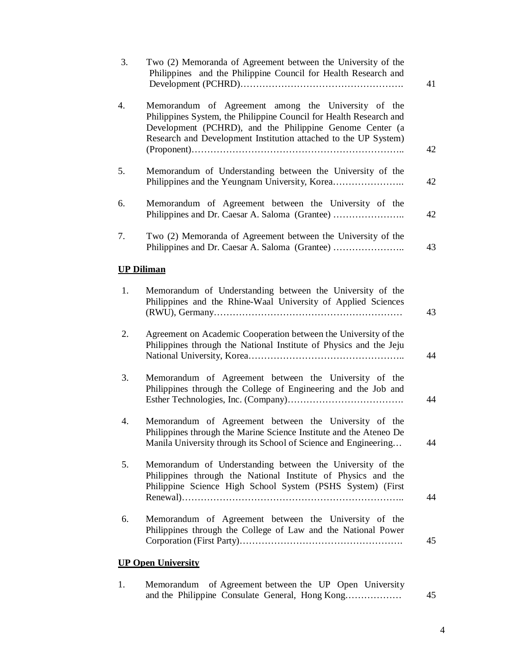| 3. | Two (2) Memoranda of Agreement between the University of the<br>Philippines and the Philippine Council for Health Research and                                                                                                                           | 41 |
|----|----------------------------------------------------------------------------------------------------------------------------------------------------------------------------------------------------------------------------------------------------------|----|
| 4. | Memorandum of Agreement among the University of the<br>Philippines System, the Philippine Council for Health Research and<br>Development (PCHRD), and the Philippine Genome Center (a<br>Research and Development Institution attached to the UP System) | 42 |
| 5. | Memorandum of Understanding between the University of the<br>Philippines and the Yeungnam University, Korea                                                                                                                                              | 42 |
| 6. | Memorandum of Agreement between the University of the<br>Philippines and Dr. Caesar A. Saloma (Grantee)                                                                                                                                                  | 42 |
| 7. | Two (2) Memoranda of Agreement between the University of the<br>Philippines and Dr. Caesar A. Saloma (Grantee)                                                                                                                                           | 43 |
|    | <b>UP Diliman</b>                                                                                                                                                                                                                                        |    |
| 1. | Memorandum of Understanding between the University of the<br>Philippines and the Rhine-Waal University of Applied Sciences                                                                                                                               | 43 |
| 2. | Agreement on Academic Cooperation between the University of the<br>Philippines through the National Institute of Physics and the Jeju                                                                                                                    | 44 |
| 3. | Memorandum of Agreement between the University of the<br>Philippines through the College of Engineering and the Job and                                                                                                                                  | 44 |
| 4. | Memorandum of Agreement between the University of the<br>Philippines through the Marine Science Institute and the Ateneo De<br>Manila University through its School of Science and Engineering                                                           | 44 |
| 5. | Memorandum of Understanding between the University of the<br>Philippines through the National Institute of Physics and the<br>Philippine Science High School System (PSHS System) (First                                                                 | 44 |
| 6. | Memorandum of Agreement between the University of the<br>Philippines through the College of Law and the National Power                                                                                                                                   | 45 |
|    | <b>UP Open University</b>                                                                                                                                                                                                                                |    |

| Memorandum of Agreement between the UP Open University |  |  |    |
|--------------------------------------------------------|--|--|----|
|                                                        |  |  | 45 |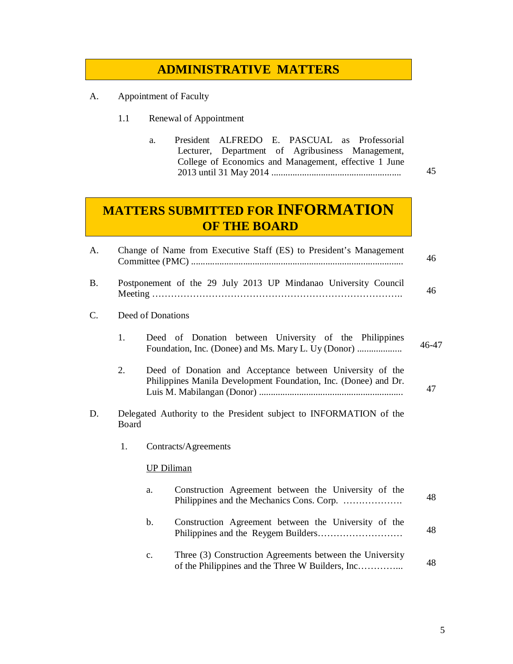## **ADMINISTRATIVE MATTERS**

- A. Appointment of Faculty
	- 1.1 Renewal of Appointment

| a. | President ALFREDO E. PASCUAL as Professorial          |  |  |    |
|----|-------------------------------------------------------|--|--|----|
|    | Lecturer, Department of Agribusiness Management,      |  |  |    |
|    | College of Economics and Management, effective 1 June |  |  |    |
|    |                                                       |  |  | 45 |

# **MATTERS SUBMITTED FOR INFORMATION OF THE BOARD**

| A. | Change of Name from Executive Staff (ES) to President's Management |                   | 46                                                                                                                           |       |
|----|--------------------------------------------------------------------|-------------------|------------------------------------------------------------------------------------------------------------------------------|-------|
| B. |                                                                    |                   | Postponement of the 29 July 2013 UP Mindanao University Council                                                              | 46    |
| C. |                                                                    | Deed of Donations |                                                                                                                              |       |
|    | 1.                                                                 |                   | Deed of Donation between University of the Philippines                                                                       | 46-47 |
|    | 2.                                                                 |                   | Deed of Donation and Acceptance between University of the<br>Philippines Manila Development Foundation, Inc. (Donee) and Dr. | 47    |
| D. | Board                                                              |                   | Delegated Authority to the President subject to INFORMATION of the                                                           |       |
|    | 1.                                                                 |                   | Contracts/Agreements                                                                                                         |       |
|    |                                                                    |                   | <b>UP Diliman</b>                                                                                                            |       |
|    |                                                                    | a.                | Construction Agreement between the University of the                                                                         | 48    |
|    |                                                                    | $b$ .             | Construction Agreement between the University of the                                                                         | 48    |
|    |                                                                    | c.                | Three (3) Construction Agreements between the University<br>of the Philippines and the Three W Builders, Inc                 | 48    |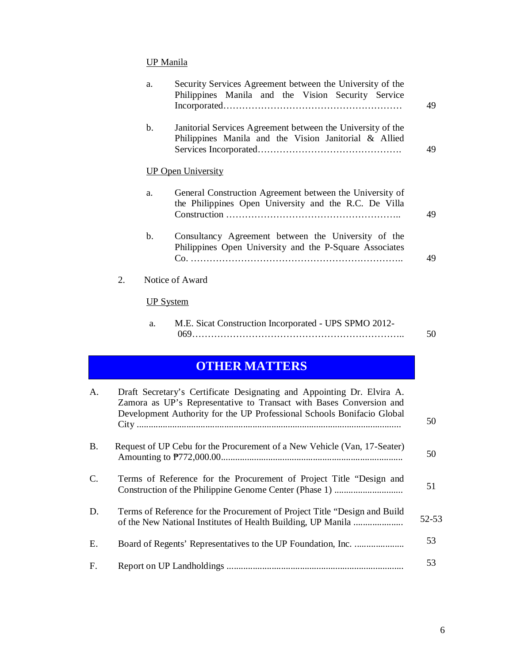## UP Manila

|    | a.               | Security Services Agreement between the University of the<br>Philippines Manila and the Vision Security Service      | 49 |
|----|------------------|----------------------------------------------------------------------------------------------------------------------|----|
|    | $\mathbf{b}$ .   | Janitorial Services Agreement between the University of the<br>Philippines Manila and the Vision Janitorial & Allied | 49 |
|    |                  | <b>UP Open University</b>                                                                                            |    |
|    | a.               | General Construction Agreement between the University of<br>the Philippines Open University and the R.C. De Villa    | 49 |
|    | $\mathbf{b}$ .   | Consultancy Agreement between the University of the<br>Philippines Open University and the P-Square Associates       | 49 |
| 2. |                  | Notice of Award                                                                                                      |    |
|    | <b>UP System</b> |                                                                                                                      |    |
|    | a.               | M.E. Sicat Construction Incorporated - UPS SPMO 2012-                                                                | 50 |
|    |                  | <b>ATILED MATTEDS</b>                                                                                                |    |

## **OTHER MATTERS**

| A.              | Draft Secretary's Certificate Designating and Appointing Dr. Elvira A.<br>Zamora as UP's Representative to Transact with Bases Conversion and<br>Development Authority for the UP Professional Schools Bonifacio Global | 50        |
|-----------------|-------------------------------------------------------------------------------------------------------------------------------------------------------------------------------------------------------------------------|-----------|
| <b>B.</b>       | Request of UP Cebu for the Procurement of a New Vehicle (Van, 17-Seater)                                                                                                                                                | 50        |
| $\mathcal{C}$ . | Terms of Reference for the Procurement of Project Title "Design and                                                                                                                                                     | 51        |
| D.              | Terms of Reference for the Procurement of Project Title "Design and Build"<br>of the New National Institutes of Health Building, UP Manila                                                                              | $52 - 53$ |
| E.              |                                                                                                                                                                                                                         | 53        |
| $F_{\cdot}$     |                                                                                                                                                                                                                         | 53        |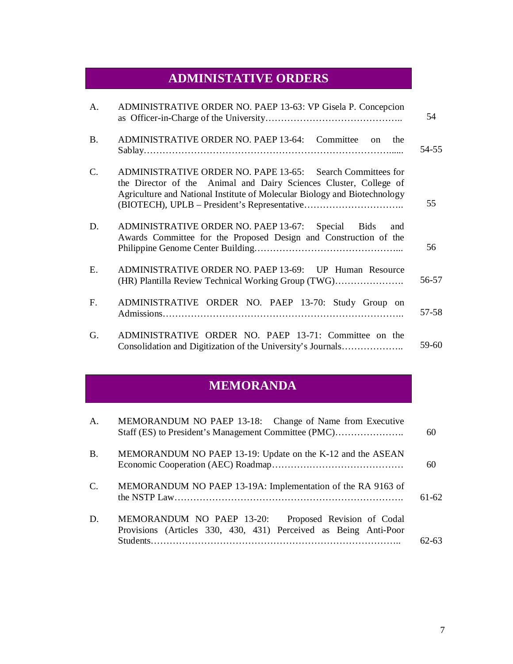# **ADMINISTATIVE ORDERS**

| A.              | ADMINISTRATIVE ORDER NO. PAEP 13-63: VP Gisela P. Concepcion                                                                                                                                                 | 54    |
|-----------------|--------------------------------------------------------------------------------------------------------------------------------------------------------------------------------------------------------------|-------|
| <b>B.</b>       | ADMINISTRATIVE ORDER NO. PAEP 13-64: Committee on<br>the                                                                                                                                                     | 54-55 |
| $\mathcal{C}$ . | ADMINISTRATIVE ORDER NO. PAPE 13-65: Search Committees for<br>the Director of the Animal and Dairy Sciences Cluster, College of<br>Agriculture and National Institute of Molecular Biology and Biotechnology | 55    |
| D.              | ADMINISTRATIVE ORDER NO. PAEP 13-67: Special Bids<br>and<br>Awards Committee for the Proposed Design and Construction of the                                                                                 | 56    |
| E.              | ADMINISTRATIVE ORDER NO. PAEP 13-69: UP Human Resource<br>(HR) Plantilla Review Technical Working Group (TWG)                                                                                                | 56-57 |
| $F_{\cdot}$     | ADMINISTRATIVE ORDER NO. PAEP 13-70: Study Group on                                                                                                                                                          | 57-58 |
| G.              | ADMINISTRATIVE ORDER NO. PAEP 13-71: Committee on the<br>Consolidation and Digitization of the University's Journals                                                                                         | 59-60 |

# **MEMORANDA**

| $\mathsf{A}$ . | MEMORANDUM NO PAEP 13-18: Change of Name from Executive<br>Staff (ES) to President's Management Committee (PMC)             | 60      |
|----------------|-----------------------------------------------------------------------------------------------------------------------------|---------|
| <b>B.</b>      | MEMORANDUM NO PAEP 13-19: Update on the K-12 and the ASEAN                                                                  | 60      |
| $\mathsf{C}$ . | MEMORANDUM NO PAEP 13-19A: Implementation of the RA 9163 of                                                                 | $61-62$ |
| D.             | MEMORANDUM NO PAEP 13-20:<br>Proposed Revision of Codal<br>Provisions (Articles 330, 430, 431) Perceived as Being Anti-Poor | 52-63   |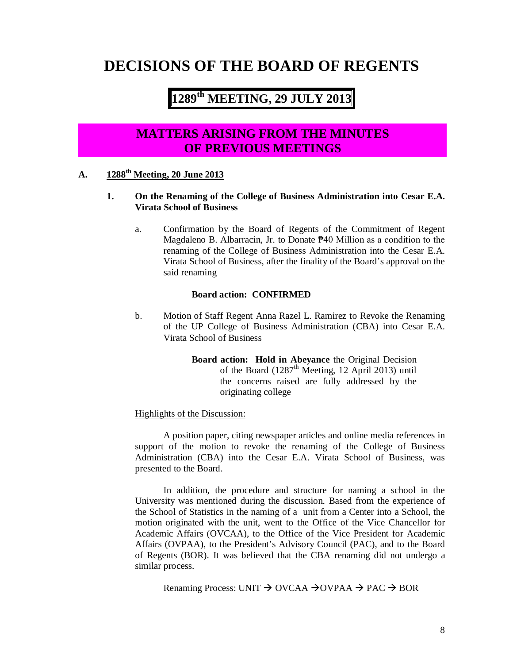# **DECISIONS OF THE BOARD OF REGENTS**

# **1289 th MEETING, 29 JULY 2013**

## **MATTERS ARISING FROM THE MINUTES OF PREVIOUS MEETINGS**

## **A. 1288th Meeting, 20 June 2013**

## **1. On the Renaming of the College of Business Administration into Cesar E.A. Virata School of Business**

a. Confirmation by the Board of Regents of the Commitment of Regent Magdaleno B. Albarracin, Jr. to Donate ₱40 Million as a condition to the renaming of the College of Business Administration into the Cesar E.A. Virata School of Business, after the finality of the Board's approval on the said renaming

#### **Board action: CONFIRMED**

b. Motion of Staff Regent Anna Razel L. Ramirez to Revoke the Renaming of the UP College of Business Administration (CBA) into Cesar E.A. Virata School of Business

> **Board action: Hold in Abeyance** the Original Decision of the Board  $(1287<sup>th</sup> Meeting, 12 April 2013) until$ the concerns raised are fully addressed by the originating college

Highlights of the Discussion:

A position paper, citing newspaper articles and online media references in support of the motion to revoke the renaming of the College of Business Administration (CBA) into the Cesar E.A. Virata School of Business, was presented to the Board.

In addition, the procedure and structure for naming a school in the University was mentioned during the discussion. Based from the experience of the School of Statistics in the naming of a unit from a Center into a School, the motion originated with the unit, went to the Office of the Vice Chancellor for Academic Affairs (OVCAA), to the Office of the Vice President for Academic Affairs (OVPAA), to the President's Advisory Council (PAC), and to the Board of Regents (BOR). It was believed that the CBA renaming did not undergo a similar process.

Renaming Process: UNIT  $\rightarrow$  OVCAA  $\rightarrow$  OVPAA  $\rightarrow$  PAC  $\rightarrow$  BOR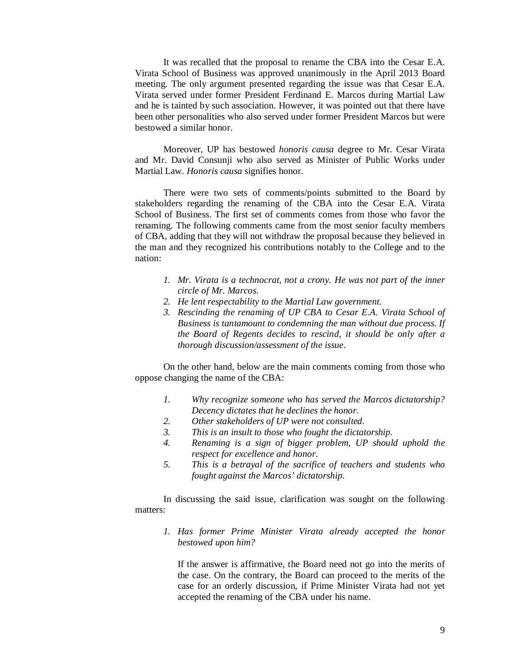It was recalled that the proposal to rename the CBA into the Cesar E.A. Virata School of Business was approved unanimously in the April 2013 Board meeting. The only argument presented regarding the issue was that Cesar E.A. Virata served under former President Ferdinand E. Marcos during Martial Law and he is tainted by such association. However, it was pointed out that there have been other personalities who also served under former President Marcos but were bestowed a similar honor.

Moreover, UP has bestowed *honoris causa* degree to Mr. Cesar Virata and Mr. David Consunji who also served as Minister of Public Works under Martial Law. *Honoris causa* signifies honor.

There were two sets of comments/points submitted to the Board by stakeholders regarding the renaming of the CBA into the Cesar E.A. Virata School of Business. The first set of comments comes from those who favor the renaming. The following comments came from the most senior faculty members of CBA, adding that they will not withdraw the proposal because they believed in the man and they recognized his contributions notably to the College and to the nation:

- *1. Mr. Virata is a technocrat, not a crony. He was not part of the inner circle of Mr. Marcos.*
- *2. He lent respectability to the Martial Law government.*
- *3. Rescinding the renaming of UP CBA to Cesar E.A. Virata School of Business is tantamount to condemning the man without due process. If the Board of Regents decides to rescind, it should be only after a thorough discussion/assessment of the issue*.

On the other hand, below are the main comments coming from those who oppose changing the name of the CBA:

- *1. Why recognize someone who has served the Marcos dictatorship? Decency dictates that he declines the honor.*
- *2. Other stakeholders of UP were not consulted.*
- *3. This is an insult to those who fought the dictatorship.*
- *4. Renaming is a sign of bigger problem, UP should uphold the respect for excellence and honor.*
- *5. This is a betrayal of the sacrifice of teachers and students who fought against the Marcos' dictatorship.*

In discussing the said issue, clarification was sought on the following matters:

*1. Has former Prime Minister Virata already accepted the honor bestowed upon him?*

If the answer is affirmative, the Board need not go into the merits of the case. On the contrary, the Board can proceed to the merits of the case for an orderly discussion, if Prime Minister Virata had not yet accepted the renaming of the CBA under his name.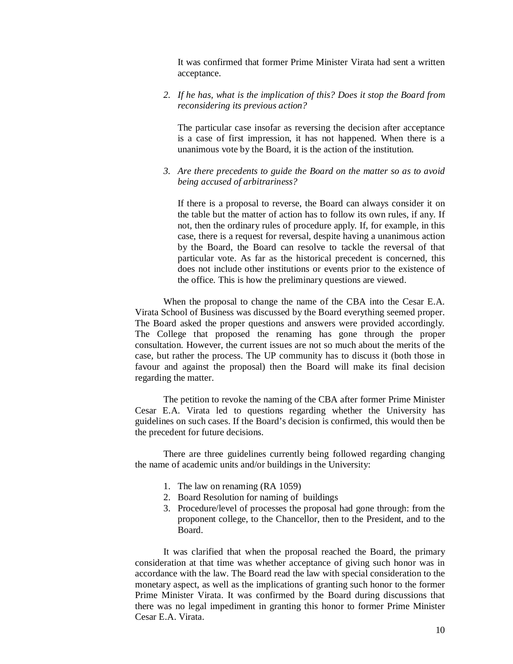It was confirmed that former Prime Minister Virata had sent a written acceptance.

*2. If he has, what is the implication of this? Does it stop the Board from reconsidering its previous action?*

The particular case insofar as reversing the decision after acceptance is a case of first impression, it has not happened. When there is a unanimous vote by the Board, it is the action of the institution.

*3. Are there precedents to guide the Board on the matter so as to avoid being accused of arbitrariness?*

If there is a proposal to reverse, the Board can always consider it on the table but the matter of action has to follow its own rules, if any. If not, then the ordinary rules of procedure apply. If, for example, in this case, there is a request for reversal, despite having a unanimous action by the Board, the Board can resolve to tackle the reversal of that particular vote. As far as the historical precedent is concerned, this does not include other institutions or events prior to the existence of the office. This is how the preliminary questions are viewed.

When the proposal to change the name of the CBA into the Cesar E.A. Virata School of Business was discussed by the Board everything seemed proper. The Board asked the proper questions and answers were provided accordingly. The College that proposed the renaming has gone through the proper consultation. However, the current issues are not so much about the merits of the case, but rather the process. The UP community has to discuss it (both those in favour and against the proposal) then the Board will make its final decision regarding the matter.

The petition to revoke the naming of the CBA after former Prime Minister Cesar E.A. Virata led to questions regarding whether the University has guidelines on such cases. If the Board's decision is confirmed, this would then be the precedent for future decisions.

There are three guidelines currently being followed regarding changing the name of academic units and/or buildings in the University:

- 1. The law on renaming (RA 1059)
- 2. Board Resolution for naming of buildings
- 3. Procedure/level of processes the proposal had gone through: from the proponent college, to the Chancellor, then to the President, and to the Board.

It was clarified that when the proposal reached the Board, the primary consideration at that time was whether acceptance of giving such honor was in accordance with the law. The Board read the law with special consideration to the monetary aspect, as well as the implications of granting such honor to the former Prime Minister Virata. It was confirmed by the Board during discussions that there was no legal impediment in granting this honor to former Prime Minister Cesar E.A. Virata.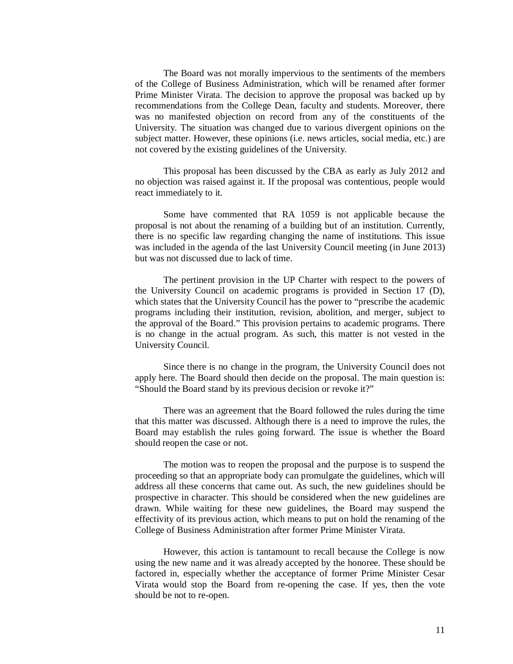The Board was not morally impervious to the sentiments of the members of the College of Business Administration, which will be renamed after former Prime Minister Virata. The decision to approve the proposal was backed up by recommendations from the College Dean, faculty and students. Moreover, there was no manifested objection on record from any of the constituents of the University. The situation was changed due to various divergent opinions on the subject matter. However, these opinions (i.e. news articles, social media, etc.) are not covered by the existing guidelines of the University.

This proposal has been discussed by the CBA as early as July 2012 and no objection was raised against it. If the proposal was contentious, people would react immediately to it.

Some have commented that RA 1059 is not applicable because the proposal is not about the renaming of a building but of an institution. Currently, there is no specific law regarding changing the name of institutions. This issue was included in the agenda of the last University Council meeting (in June 2013) but was not discussed due to lack of time.

The pertinent provision in the UP Charter with respect to the powers of the University Council on academic programs is provided in Section 17 (D), which states that the University Council has the power to "prescribe the academic programs including their institution, revision, abolition, and merger, subject to the approval of the Board." This provision pertains to academic programs. There is no change in the actual program. As such, this matter is not vested in the University Council.

Since there is no change in the program, the University Council does not apply here. The Board should then decide on the proposal. The main question is: "Should the Board stand by its previous decision or revoke it?"

There was an agreement that the Board followed the rules during the time that this matter was discussed. Although there is a need to improve the rules, the Board may establish the rules going forward. The issue is whether the Board should reopen the case or not.

The motion was to reopen the proposal and the purpose is to suspend the proceeding so that an appropriate body can promulgate the guidelines, which will address all these concerns that came out. As such, the new guidelines should be prospective in character. This should be considered when the new guidelines are drawn. While waiting for these new guidelines, the Board may suspend the effectivity of its previous action, which means to put on hold the renaming of the College of Business Administration after former Prime Minister Virata.

However, this action is tantamount to recall because the College is now using the new name and it was already accepted by the honoree. These should be factored in, especially whether the acceptance of former Prime Minister Cesar Virata would stop the Board from re-opening the case. If yes, then the vote should be not to re-open.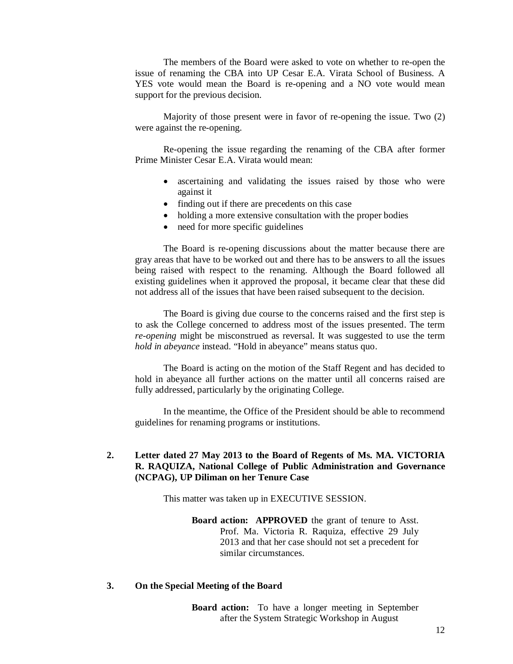The members of the Board were asked to vote on whether to re-open the issue of renaming the CBA into UP Cesar E.A. Virata School of Business. A YES vote would mean the Board is re-opening and a NO vote would mean support for the previous decision.

Majority of those present were in favor of re-opening the issue. Two (2) were against the re-opening.

Re-opening the issue regarding the renaming of the CBA after former Prime Minister Cesar E.A. Virata would mean:

- ascertaining and validating the issues raised by those who were against it
- finding out if there are precedents on this case
- holding a more extensive consultation with the proper bodies
- need for more specific guidelines

The Board is re-opening discussions about the matter because there are gray areas that have to be worked out and there has to be answers to all the issues being raised with respect to the renaming. Although the Board followed all existing guidelines when it approved the proposal, it became clear that these did not address all of the issues that have been raised subsequent to the decision.

The Board is giving due course to the concerns raised and the first step is to ask the College concerned to address most of the issues presented. The term *re-opening* might be misconstrued as reversal. It was suggested to use the term *hold in abeyance* instead. "Hold in abeyance" means status quo.

The Board is acting on the motion of the Staff Regent and has decided to hold in abeyance all further actions on the matter until all concerns raised are fully addressed, particularly by the originating College.

In the meantime, the Office of the President should be able to recommend guidelines for renaming programs or institutions.

## **2. Letter dated 27 May 2013 to the Board of Regents of Ms. MA. VICTORIA R. RAQUIZA, National College of Public Administration and Governance (NCPAG), UP Diliman on her Tenure Case**

This matter was taken up in EXECUTIVE SESSION.

**Board action: APPROVED** the grant of tenure to Asst. Prof. Ma. Victoria R. Raquiza, effective 29 July 2013 and that her case should not set a precedent for similar circumstances.

#### **3. On the Special Meeting of the Board**

**Board action:** To have a longer meeting in September after the System Strategic Workshop in August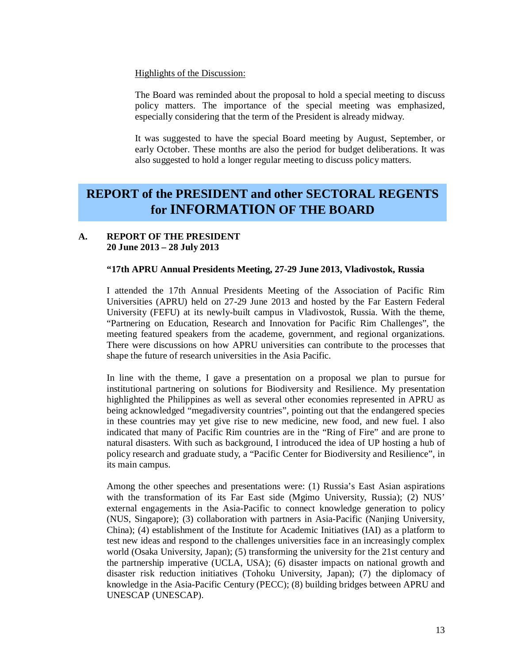#### Highlights of the Discussion:

The Board was reminded about the proposal to hold a special meeting to discuss policy matters. The importance of the special meeting was emphasized, especially considering that the term of the President is already midway.

It was suggested to have the special Board meeting by August, September, or early October. These months are also the period for budget deliberations. It was also suggested to hold a longer regular meeting to discuss policy matters.

## **REPORT of the PRESIDENT and other SECTORAL REGENTS for INFORMATION OF THE BOARD**

## **A. REPORT OF THE PRESIDENT 20 June 2013 – 28 July 2013**

## **"17th APRU Annual Presidents Meeting, 27-29 June 2013, Vladivostok, Russia**

I attended the 17th Annual Presidents Meeting of the Association of Pacific Rim Universities (APRU) held on 27-29 June 2013 and hosted by the Far Eastern Federal University (FEFU) at its newly-built campus in Vladivostok, Russia. With the theme, "Partnering on Education, Research and Innovation for Pacific Rim Challenges", the meeting featured speakers from the academe, government, and regional organizations. There were discussions on how APRU universities can contribute to the processes that shape the future of research universities in the Asia Pacific.

In line with the theme, I gave a presentation on a proposal we plan to pursue for institutional partnering on solutions for Biodiversity and Resilience. My presentation highlighted the Philippines as well as several other economies represented in APRU as being acknowledged "megadiversity countries", pointing out that the endangered species in these countries may yet give rise to new medicine, new food, and new fuel. I also indicated that many of Pacific Rim countries are in the "Ring of Fire" and are prone to natural disasters. With such as background, I introduced the idea of UP hosting a hub of policy research and graduate study, a "Pacific Center for Biodiversity and Resilience", in its main campus.

Among the other speeches and presentations were: (1) Russia's East Asian aspirations with the transformation of its Far East side (Mgimo University, Russia); (2) NUS' external engagements in the Asia-Pacific to connect knowledge generation to policy (NUS, Singapore); (3) collaboration with partners in Asia-Pacific (Nanjing University, China); (4) establishment of the Institute for Academic Initiatives (IAI) as a platform to test new ideas and respond to the challenges universities face in an increasingly complex world (Osaka University, Japan); (5) transforming the university for the 21st century and the partnership imperative (UCLA, USA); (6) disaster impacts on national growth and disaster risk reduction initiatives (Tohoku University, Japan); (7) the diplomacy of knowledge in the Asia-Pacific Century (PECC); (8) building bridges between APRU and UNESCAP (UNESCAP).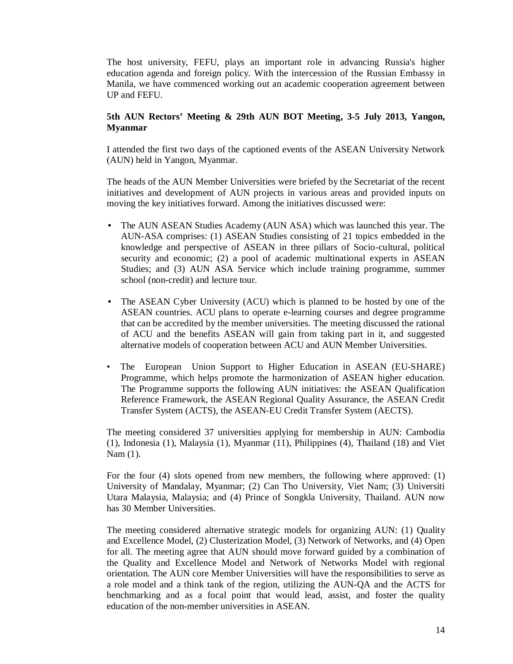The host university, FEFU, plays an important role in advancing Russia's higher education agenda and foreign policy. With the intercession of the Russian Embassy in Manila, we have commenced working out an academic cooperation agreement between UP and FEFU.

## **5th AUN Rectors' Meeting & 29th AUN BOT Meeting, 3-5 July 2013, Yangon, Myanmar**

I attended the first two days of the captioned events of the ASEAN University Network (AUN) held in Yangon, Myanmar.

The heads of the AUN Member Universities were briefed by the Secretariat of the recent initiatives and development of AUN projects in various areas and provided inputs on moving the key initiatives forward. Among the initiatives discussed were:

- The AUN ASEAN Studies Academy (AUN ASA) which was launched this year. The AUN-ASA comprises: (1) ASEAN Studies consisting of 21 topics embedded in the knowledge and perspective of ASEAN in three pillars of Socio-cultural, political security and economic; (2) a pool of academic multinational experts in ASEAN Studies; and (3) AUN ASA Service which include training programme, summer school (non-credit) and lecture tour.
- The ASEAN Cyber University (ACU) which is planned to be hosted by one of the ASEAN countries. ACU plans to operate e-learning courses and degree programme that can be accredited by the member universities. The meeting discussed the rational of ACU and the benefits ASEAN will gain from taking part in it, and suggested alternative models of cooperation between ACU and AUN Member Universities.
- The European Union Support to Higher Education in ASEAN (EU-SHARE) Programme, which helps promote the harmonization of ASEAN higher education. The Programme supports the following AUN initiatives: the ASEAN Qualification Reference Framework, the ASEAN Regional Quality Assurance, the ASEAN Credit Transfer System (ACTS), the ASEAN-EU Credit Transfer System (AECTS).

The meeting considered 37 universities applying for membership in AUN: Cambodia (1), Indonesia (1), Malaysia (1), Myanmar (11), Philippines (4), Thailand (18) and Viet Nam (1).

For the four (4) slots opened from new members, the following where approved: (1) University of Mandalay, Myanmar; (2) Can Tho University, Viet Nam; (3) Universiti Utara Malaysia, Malaysia; and (4) Prince of Songkla University, Thailand. AUN now has 30 Member Universities.

The meeting considered alternative strategic models for organizing AUN: (1) Quality and Excellence Model, (2) Clusterization Model, (3) Network of Networks, and (4) Open for all. The meeting agree that AUN should move forward guided by a combination of the Quality and Excellence Model and Network of Networks Model with regional orientation. The AUN core Member Universities will have the responsibilities to serve as a role model and a think tank of the region, utilizing the AUN-QA and the ACTS for benchmarking and as a focal point that would lead, assist, and foster the quality education of the non-member universities in ASEAN.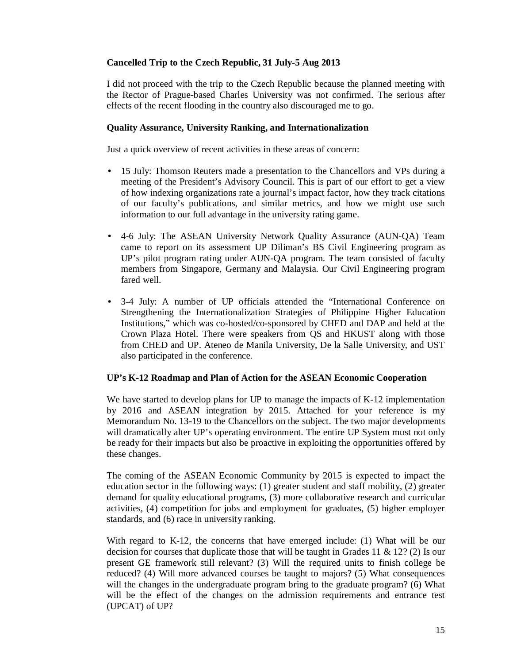## **Cancelled Trip to the Czech Republic, 31 July-5 Aug 2013**

I did not proceed with the trip to the Czech Republic because the planned meeting with the Rector of Prague-based Charles University was not confirmed. The serious after effects of the recent flooding in the country also discouraged me to go.

## **Quality Assurance, University Ranking, and Internationalization**

Just a quick overview of recent activities in these areas of concern:

- 15 July: Thomson Reuters made a presentation to the Chancellors and VPs during a meeting of the President's Advisory Council. This is part of our effort to get a view of how indexing organizations rate a journal's impact factor, how they track citations of our faculty's publications, and similar metrics, and how we might use such information to our full advantage in the university rating game.
- 4-6 July: The ASEAN University Network Quality Assurance (AUN-QA) Team came to report on its assessment UP Diliman's BS Civil Engineering program as UP's pilot program rating under AUN-QA program. The team consisted of faculty members from Singapore, Germany and Malaysia. Our Civil Engineering program fared well.
- 3-4 July: A number of UP officials attended the "International Conference on Strengthening the Internationalization Strategies of Philippine Higher Education Institutions," which was co-hosted/co-sponsored by CHED and DAP and held at the Crown Plaza Hotel. There were speakers from QS and HKUST along with those from CHED and UP. Ateneo de Manila University, De la Salle University, and UST also participated in the conference.

## **UP's K-12 Roadmap and Plan of Action for the ASEAN Economic Cooperation**

We have started to develop plans for UP to manage the impacts of K-12 implementation by 2016 and ASEAN integration by 2015. Attached for your reference is my Memorandum No. 13-19 to the Chancellors on the subject. The two major developments will dramatically alter UP's operating environment. The entire UP System must not only be ready for their impacts but also be proactive in exploiting the opportunities offered by these changes.

The coming of the ASEAN Economic Community by 2015 is expected to impact the education sector in the following ways: (1) greater student and staff mobility, (2) greater demand for quality educational programs, (3) more collaborative research and curricular activities, (4) competition for jobs and employment for graduates, (5) higher employer standards, and (6) race in university ranking.

With regard to K-12, the concerns that have emerged include: (1) What will be our decision for courses that duplicate those that will be taught in Grades 11  $\&$  12? (2) Is our present GE framework still relevant? (3) Will the required units to finish college be reduced? (4) Will more advanced courses be taught to majors? (5) What consequences will the changes in the undergraduate program bring to the graduate program? (6) What will be the effect of the changes on the admission requirements and entrance test (UPCAT) of UP?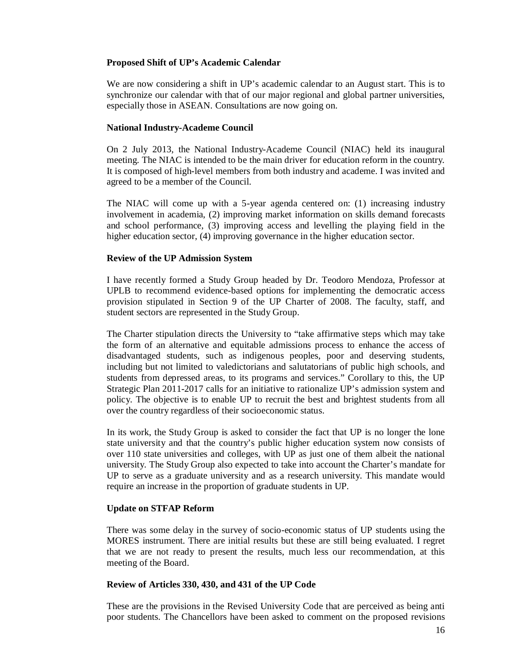## **Proposed Shift of UP's Academic Calendar**

We are now considering a shift in UP's academic calendar to an August start. This is to synchronize our calendar with that of our major regional and global partner universities, especially those in ASEAN. Consultations are now going on.

## **National Industry-Academe Council**

On 2 July 2013, the National Industry-Academe Council (NIAC) held its inaugural meeting. The NIAC is intended to be the main driver for education reform in the country. It is composed of high-level members from both industry and academe. I was invited and agreed to be a member of the Council.

The NIAC will come up with a 5-year agenda centered on: (1) increasing industry involvement in academia, (2) improving market information on skills demand forecasts and school performance, (3) improving access and levelling the playing field in the higher education sector, (4) improving governance in the higher education sector.

## **Review of the UP Admission System**

I have recently formed a Study Group headed by Dr. Teodoro Mendoza, Professor at UPLB to recommend evidence-based options for implementing the democratic access provision stipulated in Section 9 of the UP Charter of 2008. The faculty, staff, and student sectors are represented in the Study Group.

The Charter stipulation directs the University to "take affirmative steps which may take the form of an alternative and equitable admissions process to enhance the access of disadvantaged students, such as indigenous peoples, poor and deserving students, including but not limited to valedictorians and salutatorians of public high schools, and students from depressed areas, to its programs and services." Corollary to this, the UP Strategic Plan 2011-2017 calls for an initiative to rationalize UP's admission system and policy. The objective is to enable UP to recruit the best and brightest students from all over the country regardless of their socioeconomic status.

In its work, the Study Group is asked to consider the fact that UP is no longer the lone state university and that the country's public higher education system now consists of over 110 state universities and colleges, with UP as just one of them albeit the national university. The Study Group also expected to take into account the Charter's mandate for UP to serve as a graduate university and as a research university. This mandate would require an increase in the proportion of graduate students in UP.

## **Update on STFAP Reform**

There was some delay in the survey of socio-economic status of UP students using the MORES instrument. There are initial results but these are still being evaluated. I regret that we are not ready to present the results, much less our recommendation, at this meeting of the Board.

## **Review of Articles 330, 430, and 431 of the UP Code**

These are the provisions in the Revised University Code that are perceived as being anti poor students. The Chancellors have been asked to comment on the proposed revisions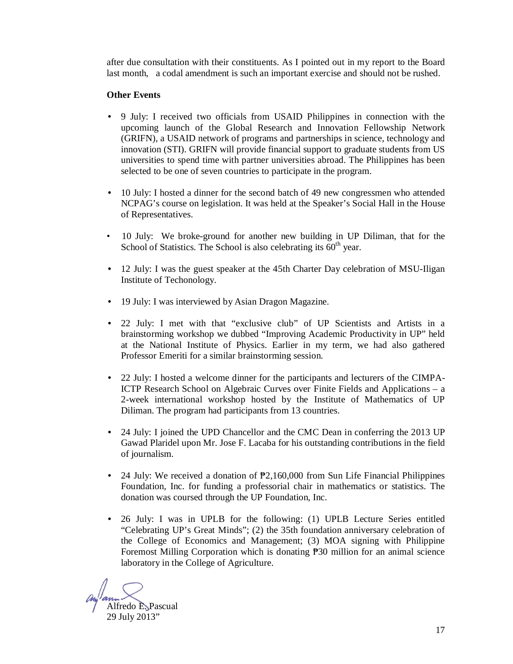after due consultation with their constituents. As I pointed out in my report to the Board last month, a codal amendment is such an important exercise and should not be rushed.

## **Other Events**

- 9 July: I received two officials from USAID Philippines in connection with the upcoming launch of the Global Research and Innovation Fellowship Network (GRIFN), a USAID network of programs and partnerships in science, technology and innovation (STI). GRIFN will provide financial support to graduate students from US universities to spend time with partner universities abroad. The Philippines has been selected to be one of seven countries to participate in the program.
- 10 July: I hosted a dinner for the second batch of 49 new congressmen who attended NCPAG's course on legislation. It was held at the Speaker's Social Hall in the House of Representatives.
- 10 July: We broke-ground for another new building in UP Diliman, that for the School of Statistics. The School is also celebrating its  $60<sup>th</sup>$  year.
- 12 July: I was the guest speaker at the 45th Charter Day celebration of MSU-Iligan Institute of Techonology.
- 19 July: I was interviewed by Asian Dragon Magazine.
- 22 July: I met with that "exclusive club" of UP Scientists and Artists in a brainstorming workshop we dubbed "Improving Academic Productivity in UP" held at the National Institute of Physics. Earlier in my term, we had also gathered Professor Emeriti for a similar brainstorming session.
- 22 July: I hosted a welcome dinner for the participants and lecturers of the CIMPA-ICTP Research School on Algebraic Curves over Finite Fields and Applications – a 2-week international workshop hosted by the Institute of Mathematics of UP Diliman. The program had participants from 13 countries.
- 24 July: I joined the UPD Chancellor and the CMC Dean in conferring the 2013 UP Gawad Plaridel upon Mr. Jose F. Lacaba for his outstanding contributions in the field of journalism.
- 24 July: We received a donation of  $P2,160,000$  from Sun Life Financial Philippines Foundation, Inc. for funding a professorial chair in mathematics or statistics. The donation was coursed through the UP Foundation, Inc.
- 26 July: I was in UPLB for the following: (1) UPLB Lecture Series entitled "Celebrating UP's Great Minds"; (2) the 35th foundation anniversary celebration of the College of Economics and Management; (3) MOA signing with Philippine Foremost Milling Corporation which is donating ₱30 million for an animal science laboratory in the College of Agriculture.

Alfredo E. Pascual 29 July 2013"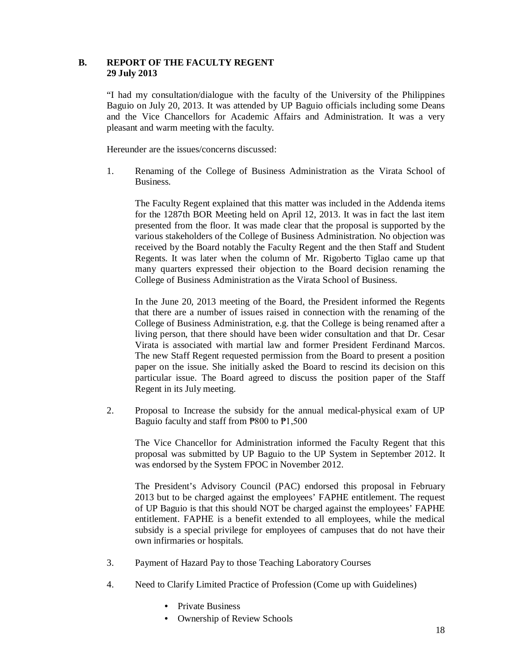## **B. REPORT OF THE FACULTY REGENT 29 July 2013**

"I had my consultation/dialogue with the faculty of the University of the Philippines Baguio on July 20, 2013. It was attended by UP Baguio officials including some Deans and the Vice Chancellors for Academic Affairs and Administration. It was a very pleasant and warm meeting with the faculty.

Hereunder are the issues/concerns discussed:

1. Renaming of the College of Business Administration as the Virata School of Business.

The Faculty Regent explained that this matter was included in the Addenda items for the 1287th BOR Meeting held on April 12, 2013. It was in fact the last item presented from the floor. It was made clear that the proposal is supported by the various stakeholders of the College of Business Administration. No objection was received by the Board notably the Faculty Regent and the then Staff and Student Regents. It was later when the column of Mr. Rigoberto Tiglao came up that many quarters expressed their objection to the Board decision renaming the College of Business Administration as the Virata School of Business.

In the June 20, 2013 meeting of the Board, the President informed the Regents that there are a number of issues raised in connection with the renaming of the College of Business Administration, e.g. that the College is being renamed after a living person, that there should have been wider consultation and that Dr. Cesar Virata is associated with martial law and former President Ferdinand Marcos. The new Staff Regent requested permission from the Board to present a position paper on the issue. She initially asked the Board to rescind its decision on this particular issue. The Board agreed to discuss the position paper of the Staff Regent in its July meeting.

2. Proposal to Increase the subsidy for the annual medical-physical exam of UP Baguio faculty and staff from ₱800 to ₱1,500

The Vice Chancellor for Administration informed the Faculty Regent that this proposal was submitted by UP Baguio to the UP System in September 2012. It was endorsed by the System FPOC in November 2012.

The President's Advisory Council (PAC) endorsed this proposal in February 2013 but to be charged against the employees' FAPHE entitlement. The request of UP Baguio is that this should NOT be charged against the employees' FAPHE entitlement. FAPHE is a benefit extended to all employees, while the medical subsidy is a special privilege for employees of campuses that do not have their own infirmaries or hospitals.

- 3. Payment of Hazard Pay to those Teaching Laboratory Courses
- 4. Need to Clarify Limited Practice of Profession (Come up with Guidelines)
	- Private Business
	- Ownership of Review Schools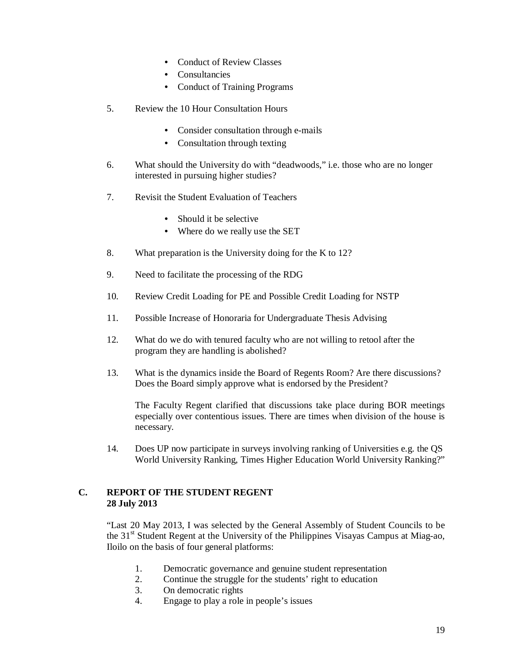- Conduct of Review Classes
- **Consultancies**
- Conduct of Training Programs
- 5. Review the 10 Hour Consultation Hours
	- Consider consultation through e-mails
	- Consultation through texting
- 6. What should the University do with "deadwoods," i.e. those who are no longer interested in pursuing higher studies?
- 7. Revisit the Student Evaluation of Teachers
	- Should it be selective
	- Where do we really use the SET
- 8. What preparation is the University doing for the K to 12?
- 9. Need to facilitate the processing of the RDG
- 10. Review Credit Loading for PE and Possible Credit Loading for NSTP
- 11. Possible Increase of Honoraria for Undergraduate Thesis Advising
- 12. What do we do with tenured faculty who are not willing to retool after the program they are handling is abolished?
- 13. What is the dynamics inside the Board of Regents Room? Are there discussions? Does the Board simply approve what is endorsed by the President?

The Faculty Regent clarified that discussions take place during BOR meetings especially over contentious issues. There are times when division of the house is necessary.

14. Does UP now participate in surveys involving ranking of Universities e.g. the QS World University Ranking, Times Higher Education World University Ranking?"

## **C. REPORT OF THE STUDENT REGENT 28 July 2013**

"Last 20 May 2013, I was selected by the General Assembly of Student Councils to be the 31<sup>st</sup> Student Regent at the University of the Philippines Visayas Campus at Miag-ao, Iloilo on the basis of four general platforms:

- 1. Democratic governance and genuine student representation
- 2. Continue the struggle for the students' right to education
- 3. On democratic rights
- 4. Engage to play a role in people's issues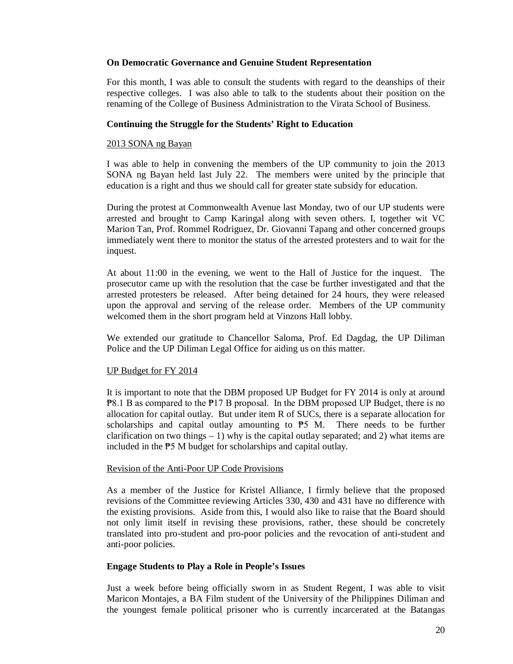## **On Democratic Governance and Genuine Student Representation**

For this month, I was able to consult the students with regard to the deanships of their respective colleges. I was also able to talk to the students about their position on the renaming of the College of Business Administration to the Virata School of Business.

## **Continuing the Struggle for the Students' Right to Education**

### 2013 SONA ng Bayan

I was able to help in convening the members of the UP community to join the 2013 SONA ng Bayan held last July 22. The members were united by the principle that education is a right and thus we should call for greater state subsidy for education.

During the protest at Commonwealth Avenue last Monday, two of our UP students were arrested and brought to Camp Karingal along with seven others. I, together wit VC Marion Tan, Prof. Rommel Rodriguez, Dr. Giovanni Tapang and other concerned groups immediately went there to monitor the status of the arrested protesters and to wait for the inquest.

At about 11:00 in the evening, we went to the Hall of Justice for the inquest. The prosecutor came up with the resolution that the case be further investigated and that the arrested protesters be released. After being detained for 24 hours, they were released upon the approval and serving of the release order. Members of the UP community welcomed them in the short program held at Vinzons Hall lobby.

We extended our gratitude to Chancellor Saloma, Prof. Ed Dagdag, the UP Diliman Police and the UP Diliman Legal Office for aiding us on this matter.

## UP Budget for FY 2014

It is important to note that the DBM proposed UP Budget for FY 2014 is only at around ₱8.1 B as compared to the ₱17 B proposal. In the DBM proposed UP Budget, there is no allocation for capital outlay. But under item R of SUCs, there is a separate allocation for scholarships and capital outlay amounting to  $P_5$  M. There needs to be further clarification on two things  $-1$ ) why is the capital outlay separated; and 2) what items are included in the ₱5 M budget for scholarships and capital outlay.

## Revision of the Anti-Poor UP Code Provisions

As a member of the Justice for Kristel Alliance, I firmly believe that the proposed revisions of the Committee reviewing Articles 330, 430 and 431 have no difference with the existing provisions. Aside from this, I would also like to raise that the Board should not only limit itself in revising these provisions, rather, these should be concretely translated into pro-student and pro-poor policies and the revocation of anti-student and anti-poor policies.

## **Engage Students to Play a Role in People's Issues**

Just a week before being officially sworn in as Student Regent, I was able to visit Maricon Montajes, a BA Film student of the University of the Philippines Diliman and the youngest female political prisoner who is currently incarcerated at the Batangas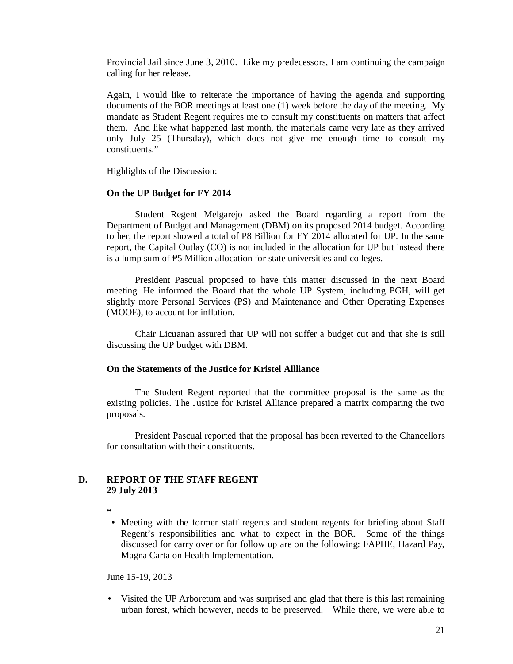Provincial Jail since June 3, 2010. Like my predecessors, I am continuing the campaign calling for her release.

Again, I would like to reiterate the importance of having the agenda and supporting documents of the BOR meetings at least one (1) week before the day of the meeting. My mandate as Student Regent requires me to consult my constituents on matters that affect them. And like what happened last month, the materials came very late as they arrived only July 25 (Thursday), which does not give me enough time to consult my constituents."

#### Highlights of the Discussion:

### **On the UP Budget for FY 2014**

Student Regent Melgarejo asked the Board regarding a report from the Department of Budget and Management (DBM) on its proposed 2014 budget. According to her, the report showed a total of P8 Billion for FY 2014 allocated for UP. In the same report, the Capital Outlay (CO) is not included in the allocation for UP but instead there is a lump sum of ₱5 Million allocation for state universities and colleges.

President Pascual proposed to have this matter discussed in the next Board meeting. He informed the Board that the whole UP System, including PGH, will get slightly more Personal Services (PS) and Maintenance and Other Operating Expenses (MOOE), to account for inflation.

Chair Licuanan assured that UP will not suffer a budget cut and that she is still discussing the UP budget with DBM.

### **On the Statements of the Justice for Kristel Allliance**

The Student Regent reported that the committee proposal is the same as the existing policies. The Justice for Kristel Alliance prepared a matrix comparing the two proposals.

President Pascual reported that the proposal has been reverted to the Chancellors for consultation with their constituents.

## **D. REPORT OF THE STAFF REGENT 29 July 2013**

- **"**
- Meeting with the former staff regents and student regents for briefing about Staff Regent's responsibilities and what to expect in the BOR. Some of the things discussed for carry over or for follow up are on the following: FAPHE, Hazard Pay, Magna Carta on Health Implementation.

June 15-19, 2013

• Visited the UP Arboretum and was surprised and glad that there is this last remaining urban forest, which however, needs to be preserved. While there, we were able to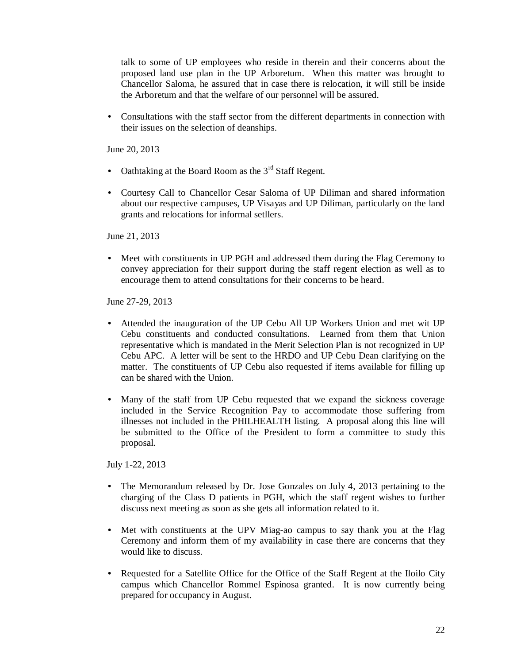talk to some of UP employees who reside in therein and their concerns about the proposed land use plan in the UP Arboretum. When this matter was brought to Chancellor Saloma, he assured that in case there is relocation, it will still be inside the Arboretum and that the welfare of our personnel will be assured.

• Consultations with the staff sector from the different departments in connection with their issues on the selection of deanships.

June 20, 2013

- Oathtaking at the Board Room as the  $3<sup>rd</sup>$  Staff Regent.
- Courtesy Call to Chancellor Cesar Saloma of UP Diliman and shared information about our respective campuses, UP Visayas and UP Diliman, particularly on the land grants and relocations for informal setllers.

June 21, 2013

• Meet with constituents in UP PGH and addressed them during the Flag Ceremony to convey appreciation for their support during the staff regent election as well as to encourage them to attend consultations for their concerns to be heard.

June 27-29, 2013

- Attended the inauguration of the UP Cebu All UP Workers Union and met wit UP Cebu constituents and conducted consultations. Learned from them that Union representative which is mandated in the Merit Selection Plan is not recognized in UP Cebu APC. A letter will be sent to the HRDO and UP Cebu Dean clarifying on the matter. The constituents of UP Cebu also requested if items available for filling up can be shared with the Union.
- Many of the staff from UP Cebu requested that we expand the sickness coverage included in the Service Recognition Pay to accommodate those suffering from illnesses not included in the PHILHEALTH listing. A proposal along this line will be submitted to the Office of the President to form a committee to study this proposal.

July 1-22, 2013

- The Memorandum released by Dr. Jose Gonzales on July 4, 2013 pertaining to the charging of the Class D patients in PGH, which the staff regent wishes to further discuss next meeting as soon as she gets all information related to it.
- Met with constituents at the UPV Miag-ao campus to say thank you at the Flag Ceremony and inform them of my availability in case there are concerns that they would like to discuss.
- Requested for a Satellite Office for the Office of the Staff Regent at the Iloilo City campus which Chancellor Rommel Espinosa granted. It is now currently being prepared for occupancy in August.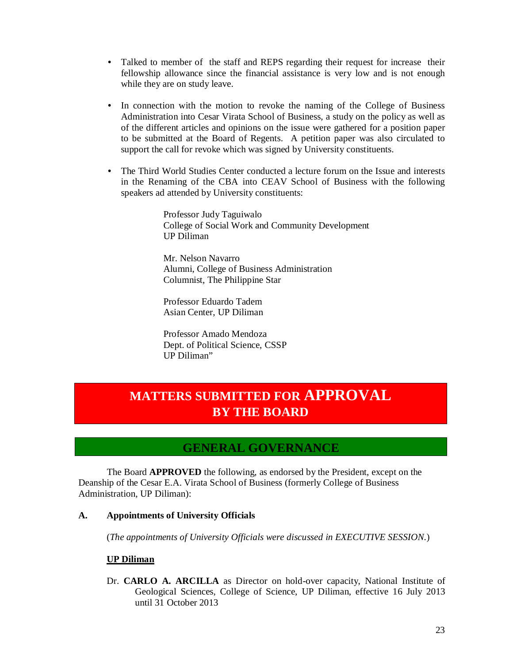- Talked to member of the staff and REPS regarding their request for increase their fellowship allowance since the financial assistance is very low and is not enough while they are on study leave.
- In connection with the motion to revoke the naming of the College of Business Administration into Cesar Virata School of Business, a study on the policy as well as of the different articles and opinions on the issue were gathered for a position paper to be submitted at the Board of Regents. A petition paper was also circulated to support the call for revoke which was signed by University constituents.
- The Third World Studies Center conducted a lecture forum on the Issue and interests in the Renaming of the CBA into CEAV School of Business with the following speakers ad attended by University constituents:

Professor Judy Taguiwalo College of Social Work and Community Development UP Diliman

Mr. Nelson Navarro Alumni, College of Business Administration Columnist, The Philippine Star

Professor Eduardo Tadem Asian Center, UP Diliman

Professor Amado Mendoza Dept. of Political Science, CSSP UP Diliman"

# **MATTERS SUBMITTED FOR APPROVAL BY THE BOARD**

## **GENERAL GOVERNANCE**

 The Board **APPROVED** the following, as endorsed by the President, except on the Deanship of the Cesar E.A. Virata School of Business (formerly College of Business Administration, UP Diliman):

## **A. Appointments of University Officials**

(*The appointments of University Officials were discussed in EXECUTIVE SESSION*.)

## **UP Diliman**

Dr. **CARLO A. ARCILLA** as Director on hold-over capacity, National Institute of Geological Sciences, College of Science, UP Diliman, effective 16 July 2013 until 31 October 2013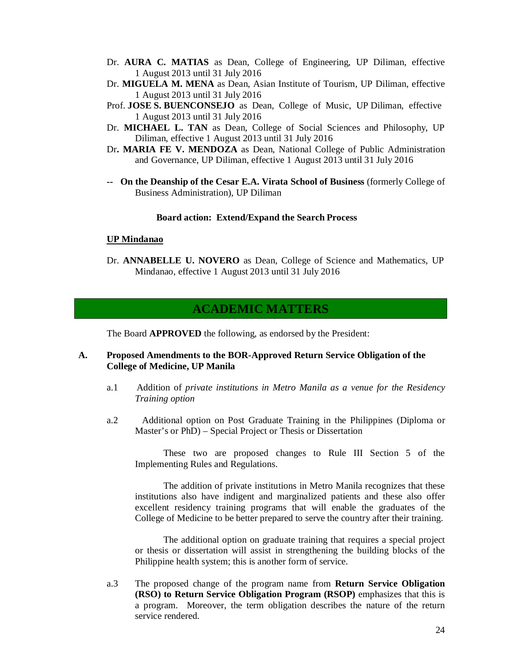- Dr. **AURA C. MATIAS** as Dean, College of Engineering, UP Diliman, effective 1 August 2013 until 31 July 2016
- Dr. **MIGUELA M. MENA** as Dean, Asian Institute of Tourism, UP Diliman, effective 1 August 2013 until 31 July 2016
- Prof. **JOSE S. BUENCONSEJO** as Dean, College of Music, UP Diliman, effective 1 August 2013 until 31 July 2016
- Dr. **MICHAEL L. TAN** as Dean, College of Social Sciences and Philosophy, UP Diliman, effective 1 August 2013 until 31 July 2016
- Dr**. MARIA FE V. MENDOZA** as Dean, National College of Public Administration and Governance, UP Diliman, effective 1 August 2013 until 31 July 2016
- **-- On the Deanship of the Cesar E.A. Virata School of Business** (formerly College of Business Administration), UP Diliman

### **Board action: Extend/Expand the Search Process**

#### **UP Mindanao**

Dr. **ANNABELLE U. NOVERO** as Dean, College of Science and Mathematics, UP Mindanao, effective 1 August 2013 until 31 July 2016

## **ACADEMIC MATTERS**

The Board **APPROVED** the following, as endorsed by the President:

### **A. Proposed Amendments to the BOR-Approved Return Service Obligation of the College of Medicine, UP Manila**

- a.1 Addition of *private institutions in Metro Manila as a venue for the Residency Training option*
- a.2 Additional option on Post Graduate Training in the Philippines (Diploma or Master's or PhD) – Special Project or Thesis or Dissertation

These two are proposed changes to Rule III Section 5 of the Implementing Rules and Regulations.

The addition of private institutions in Metro Manila recognizes that these institutions also have indigent and marginalized patients and these also offer excellent residency training programs that will enable the graduates of the College of Medicine to be better prepared to serve the country after their training.

The additional option on graduate training that requires a special project or thesis or dissertation will assist in strengthening the building blocks of the Philippine health system; this is another form of service.

a.3 The proposed change of the program name from **Return Service Obligation (RSO) to Return Service Obligation Program (RSOP)** emphasizes that this is a program. Moreover, the term obligation describes the nature of the return service rendered.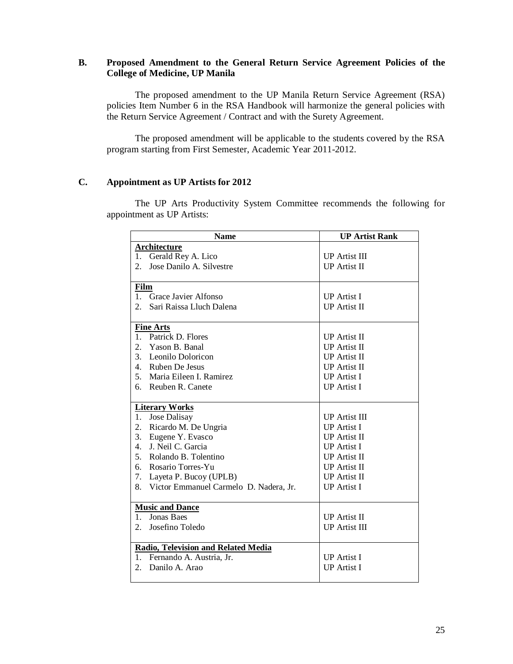## **B. Proposed Amendment to the General Return Service Agreement Policies of the College of Medicine, UP Manila**

The proposed amendment to the UP Manila Return Service Agreement (RSA) policies Item Number 6 in the RSA Handbook will harmonize the general policies with the Return Service Agreement / Contract and with the Surety Agreement.

The proposed amendment will be applicable to the students covered by the RSA program starting from First Semester, Academic Year 2011-2012.

## **C. Appointment as UP Artists for 2012**

The UP Arts Productivity System Committee recommends the following for appointment as UP Artists:

|                | <b>Name</b>                                | <b>UP Artist Rank</b> |  |  |  |
|----------------|--------------------------------------------|-----------------------|--|--|--|
|                | Architecture                               |                       |  |  |  |
| 1.             | Gerald Rey A. Lico                         | <b>UP</b> Artist III  |  |  |  |
| 2.             | Jose Danilo A. Silvestre                   | <b>UP</b> Artist II   |  |  |  |
|                |                                            |                       |  |  |  |
| <b>Film</b>    |                                            |                       |  |  |  |
| 1.             | Grace Javier Alfonso                       | <b>UP</b> Artist I    |  |  |  |
| 2.             | Sari Raissa Lluch Dalena                   | <b>UP</b> Artist II   |  |  |  |
|                |                                            |                       |  |  |  |
|                | <b>Fine Arts</b>                           |                       |  |  |  |
| $\mathbf{1}$ . | Patrick D. Flores                          | <b>IP</b> Artist II   |  |  |  |
| 2.             | Yason B. Banal                             | <b>IP</b> Artist II   |  |  |  |
| 3.             | Leonilo Doloricon                          | <b>UP</b> Artist II   |  |  |  |
|                | 4. Ruben De Jesus                          | <b>UP</b> Artist II   |  |  |  |
| 5.             | Maria Eileen I. Ramirez                    | <b>UP</b> Artist I    |  |  |  |
| б.             | Reuben R. Canete                           | <b>UP</b> Artist I    |  |  |  |
|                |                                            |                       |  |  |  |
|                | <b>Literary Works</b>                      |                       |  |  |  |
| 1.             | Jose Dalisay                               | <b>UP Artist III</b>  |  |  |  |
| 2.             | Ricardo M. De Ungria                       | <b>UP</b> Artist I    |  |  |  |
| 3.             | Eugene Y. Evasco                           | <b>UP</b> Artist II   |  |  |  |
| 4.             | J. Neil C. Garcia                          | <b>UP</b> Artist I    |  |  |  |
| 5.             | Rolando B. Tolentino                       | <b>UP</b> Artist II   |  |  |  |
| б.             | Rosario Torres-Yu                          | <b>UP Artist II</b>   |  |  |  |
| 7.             | Layeta P. Bucoy (UPLB)                     | <b>UP</b> Artist II   |  |  |  |
| 8.             | Victor Emmanuel Carmelo D. Nadera, Jr.     | <b>UP</b> Artist I    |  |  |  |
|                |                                            |                       |  |  |  |
|                | <b>Music and Dance</b>                     |                       |  |  |  |
| 1.             | <b>Jonas Baes</b>                          | <b>IP</b> Artist II   |  |  |  |
| 2.             | Josefino Toledo                            | <b>UP Artist III</b>  |  |  |  |
|                |                                            |                       |  |  |  |
|                | <b>Radio, Television and Related Media</b> |                       |  |  |  |
| 1.             | Fernando A. Austria, Jr.                   | <b>UP</b> Artist I    |  |  |  |
| 2.             | Danilo A. Arao                             | <b>UP</b> Artist I    |  |  |  |
|                |                                            |                       |  |  |  |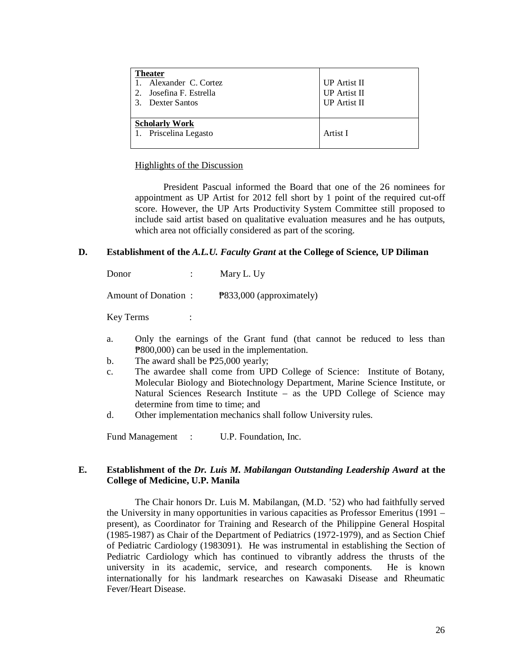| <b>Theater</b><br>1. Alexander C. Cortez<br>2. Josefina F. Estrella<br>3. Dexter Santos | <b>UP</b> Artist II<br><b>UP</b> Artist II<br><b>UP</b> Artist II |
|-----------------------------------------------------------------------------------------|-------------------------------------------------------------------|
| <b>Scholarly Work</b><br>1. Priscelina Legasto                                          | Artist I                                                          |

### Highlights of the Discussion

President Pascual informed the Board that one of the 26 nominees for appointment as UP Artist for 2012 fell short by 1 point of the required cut-off score. However, the UP Arts Productivity System Committee still proposed to include said artist based on qualitative evaluation measures and he has outputs, which area not officially considered as part of the scoring.

#### **D. Establishment of the** *A.L.U. Faculty Grant* **at the College of Science, UP Diliman**

Donor : Mary L. Uy

Amount of Donation :  $\frac{1}{2}$  P833,000 (approximately)

Key Terms :

- a. Only the earnings of the Grant fund (that cannot be reduced to less than ₱800,000) can be used in the implementation.
- b. The award shall be  $\overline{P}25,000$  yearly;
- c. The awardee shall come from UPD College of Science: Institute of Botany, Molecular Biology and Biotechnology Department, Marine Science Institute, or Natural Sciences Research Institute – as the UPD College of Science may determine from time to time; and
- d. Other implementation mechanics shall follow University rules.

Fund Management : U.P. Foundation, Inc.

## **E. Establishment of the** *Dr. Luis M. Mabilangan Outstanding Leadership Award* **at the College of Medicine, U.P. Manila**

The Chair honors Dr. Luis M. Mabilangan, (M.D. '52) who had faithfully served the University in many opportunities in various capacities as Professor Emeritus (1991 – present), as Coordinator for Training and Research of the Philippine General Hospital (1985-1987) as Chair of the Department of Pediatrics (1972-1979), and as Section Chief of Pediatric Cardiology (1983091). He was instrumental in establishing the Section of Pediatric Cardiology which has continued to vibrantly address the thrusts of the university in its academic, service, and research components. He is known internationally for his landmark researches on Kawasaki Disease and Rheumatic Fever/Heart Disease.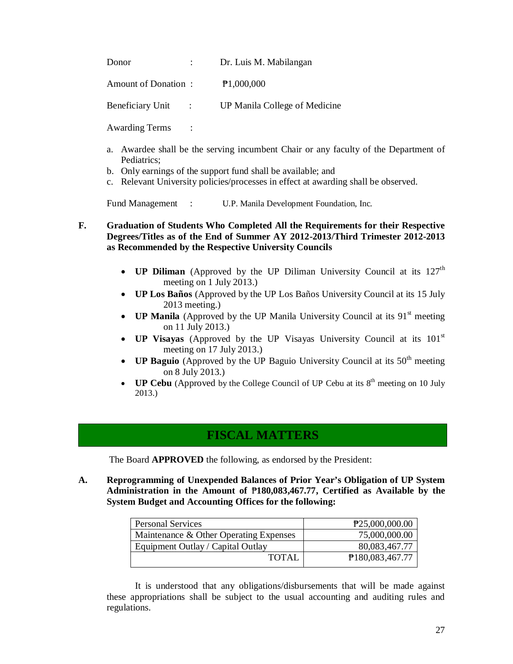| Donor               | Dr. Luis M. Mabilangan        |
|---------------------|-------------------------------|
| Amount of Donation: | P1,000,000                    |
| Beneficiary Unit :  | UP Manila College of Medicine |

Awarding Terms :

- a. Awardee shall be the serving incumbent Chair or any faculty of the Department of Pediatrics;
- b. Only earnings of the support fund shall be available; and
- c. Relevant University policies/processes in effect at awarding shall be observed.

Fund Management : U.P. Manila Development Foundation, Inc.

## **F. Graduation of Students Who Completed All the Requirements for their Respective Degrees/Titles as of the End of Summer AY 2012-2013/Third Trimester 2012-2013 as Recommended by the Respective University Councils**

- **UP Diliman** (Approved by the UP Diliman University Council at its 127<sup>th</sup> meeting on 1 July 2013.)
- **UP Los Baños** (Approved by the UP Los Baños University Council at its 15 July 2013 meeting.)
- **UP Manila** (Approved by the UP Manila University Council at its  $91<sup>st</sup>$  meeting on 11 July 2013.)
- **UP Visayas** (Approved by the UP Visayas University Council at its 101<sup>st</sup> meeting on 17 July 2013.)
- **UP Baguio** (Approved by the UP Baguio University Council at its  $50<sup>th</sup>$  meeting on 8 July 2013.)
- **UP Cebu** (Approved by the College Council of UP Cebu at its  $8<sup>th</sup>$  meeting on 10 July 2013.)

## **FISCAL MATTERS**

The Board **APPROVED** the following, as endorsed by the President:

**A. Reprogramming of Unexpended Balances of Prior Year's Obligation of UP System Administration in the Amount of** ₱**180,083,467.77, Certified as Available by the System Budget and Accounting Offices for the following:**

| <b>Personal Services</b>               | P25,000,000.00  |
|----------------------------------------|-----------------|
| Maintenance & Other Operating Expenses | 75,000,000.00   |
| Equipment Outlay / Capital Outlay      | 80,083,467.77   |
| TOTAL                                  | P180,083,467.77 |

It is understood that any obligations/disbursements that will be made against these appropriations shall be subject to the usual accounting and auditing rules and regulations.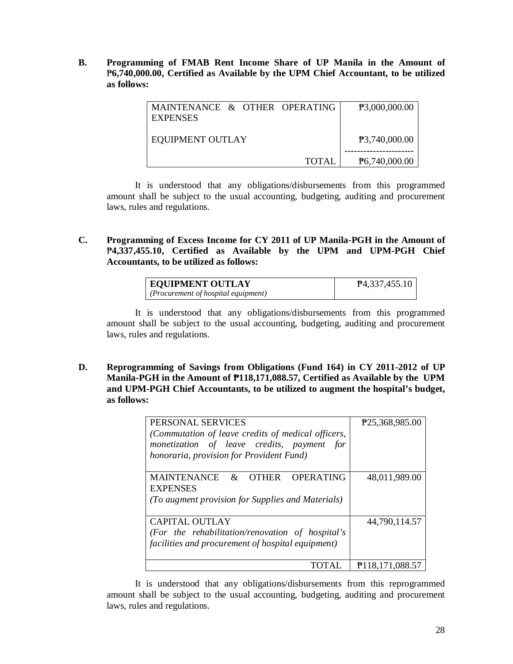**B. Programming of FMAB Rent Income Share of UP Manila in the Amount of**  ₱**6,740,000.00, Certified as Available by the UPM Chief Accountant, to be utilized as follows:**

| MAINTENANCE & OTHER OPERATING<br><b>EXPENSES</b> | P3,000,000.00 |
|--------------------------------------------------|---------------|
| <b>EQUIPMENT OUTLAY</b>                          | P3,740,000.00 |
| TOTAL                                            | P6,740,000.00 |

It is understood that any obligations/disbursements from this programmed amount shall be subject to the usual accounting, budgeting, auditing and procurement laws, rules and regulations.

**C. Programming of Excess Income for CY 2011 of UP Manila-PGH in the Amount of**  ₱**4,337,455.10, Certified as Available by the UPM and UPM-PGH Chief Accountants, to be utilized as follows:**

| <b>EQUIPMENT OUTLAY</b>            | P4,337,455.10 |
|------------------------------------|---------------|
| (Procurrent of hospital equipment) |               |

It is understood that any obligations/disbursements from this programmed amount shall be subject to the usual accounting, budgeting, auditing and procurement laws, rules and regulations.

**D. Reprogramming of Savings from Obligations (Fund 164) in CY 2011-2012 of UP Manila-PGH in the Amount of ₱118,171,088.57, Certified as Available by the UPM and UPM-PGH Chief Accountants, to be utilized to augment the hospital's budget, as follows:**

| PERSONAL SERVICES                                  | P25,368,985.00  |
|----------------------------------------------------|-----------------|
| (Commutation of leave credits of medical officers, |                 |
| monetization of leave credits, payment for         |                 |
| honoraria, provision for Provident Fund)           |                 |
|                                                    |                 |
| MAINTENANCE & OTHER<br><b>OPERATING</b>            | 48,011,989.00   |
| <b>EXPENSES</b>                                    |                 |
| (To augment provision for Supplies and Materials)  |                 |
|                                                    |                 |
| CAPITAL OUTLAY                                     | 44,790,114.57   |
| (For the rehabilitation/renovation of hospital's   |                 |
| facilities and procurement of hospital equipment)  |                 |
|                                                    |                 |
| TOTAL                                              | P118,171,088.57 |

It is understood that any obligations/disbursements from this reprogrammed amount shall be subject to the usual accounting, budgeting, auditing and procurement laws, rules and regulations.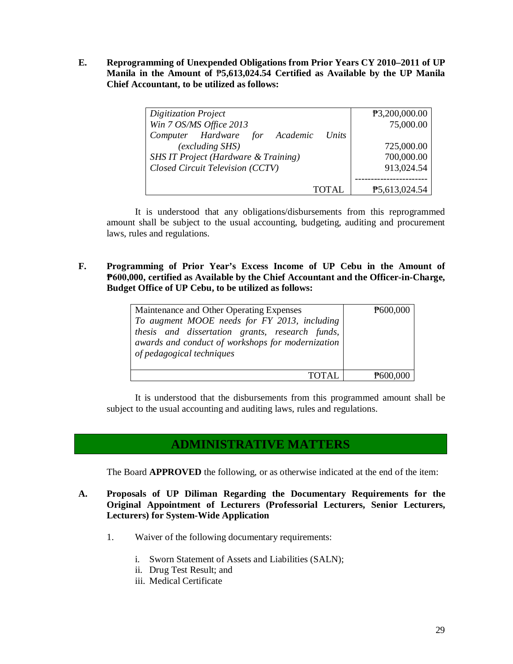**E. Reprogramming of Unexpended Obligations from Prior Years CY 2010–2011 of UP Manila in the Amount of** ₱**5,613,024.54 Certified as Available by the UP Manila Chief Accountant, to be utilized as follows:**

| <b>Digitization Project</b>                    | P3,200,000.00 |
|------------------------------------------------|---------------|
| Win 7 OS/MS Office 2013                        | 75,000.00     |
| Computer Hardware for Academic<br><i>Units</i> |               |
| (excluding SHS)                                | 725,000.00    |
| SHS IT Project (Hardware & Training)           | 700,000.00    |
| Closed Circuit Television (CCTV)               | 913,024.54    |
|                                                |               |
| TOT AL                                         | P5,613,024.54 |

It is understood that any obligations/disbursements from this reprogrammed amount shall be subject to the usual accounting, budgeting, auditing and procurement laws, rules and regulations.

**F. Programming of Prior Year's Excess Income of UP Cebu in the Amount of ₱600,000, certified as Available by the Chief Accountant and the Officer-in-Charge, Budget Office of UP Cebu, to be utilized as follows:**

| Maintenance and Other Operating Expenses<br>To augment MOOE needs for FY 2013, including<br>thesis and dissertation grants, research funds,<br>awards and conduct of workshops for modernization<br>of pedagogical techniques | P600,000 |
|-------------------------------------------------------------------------------------------------------------------------------------------------------------------------------------------------------------------------------|----------|
|                                                                                                                                                                                                                               | #600     |

It is understood that the disbursements from this programmed amount shall be subject to the usual accounting and auditing laws, rules and regulations.

## **ADMINISTRATIVE MATTERS**

The Board **APPROVED** the following, or as otherwise indicated at the end of the item:

- **A. Proposals of UP Diliman Regarding the Documentary Requirements for the Original Appointment of Lecturers (Professorial Lecturers, Senior Lecturers, Lecturers) for System-Wide Application**
	- 1. Waiver of the following documentary requirements:
		- i. Sworn Statement of Assets and Liabilities (SALN);
		- ii. Drug Test Result; and
		- iii. Medical Certificate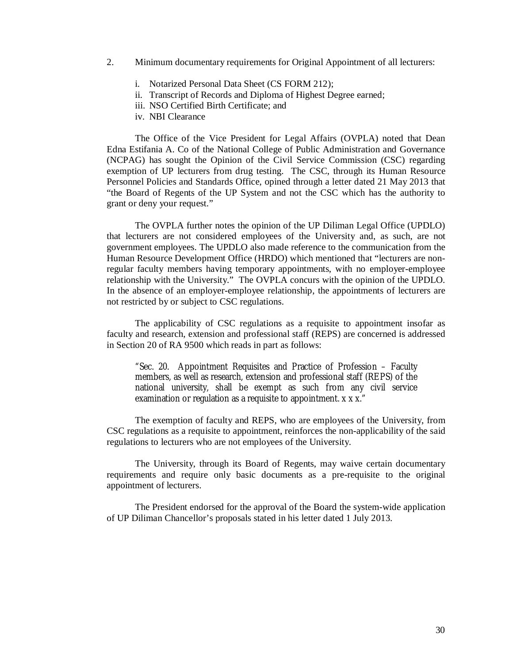- 2. Minimum documentary requirements for Original Appointment of all lecturers:
	- i. Notarized Personal Data Sheet (CS FORM 212);
	- ii. Transcript of Records and Diploma of Highest Degree earned;
	- iii. NSO Certified Birth Certificate; and
	- iv. NBI Clearance

The Office of the Vice President for Legal Affairs (OVPLA) noted that Dean Edna Estifania A. Co of the National College of Public Administration and Governance (NCPAG) has sought the Opinion of the Civil Service Commission (CSC) regarding exemption of UP lecturers from drug testing. The CSC, through its Human Resource Personnel Policies and Standards Office, opined through a letter dated 21 May 2013 that "the Board of Regents of the UP System and not the CSC which has the authority to grant or deny your request."

The OVPLA further notes the opinion of the UP Diliman Legal Office (UPDLO) that lecturers are not considered employees of the University and, as such, are not government employees. The UPDLO also made reference to the communication from the Human Resource Development Office (HRDO) which mentioned that "lecturers are nonregular faculty members having temporary appointments, with no employer-employee relationship with the University." The OVPLA concurs with the opinion of the UPDLO. In the absence of an employer-employee relationship, the appointments of lecturers are not restricted by or subject to CSC regulations.

The applicability of CSC regulations as a requisite to appointment insofar as faculty and research, extension and professional staff (REPS) are concerned is addressed in Section 20 of RA 9500 which reads in part as follows:

"Sec. 20. Appointment Requisites and Practice of Profession – Faculty members, as well as research, extension and professional staff (REPS) of the national university, shall be exempt as such from any civil service examination or regulation as a requisite to appointment. x x x."

The exemption of faculty and REPS, who are employees of the University, from CSC regulations as a requisite to appointment, reinforces the non-applicability of the said regulations to lecturers who are not employees of the University.

The University, through its Board of Regents, may waive certain documentary requirements and require only basic documents as a pre-requisite to the original appointment of lecturers.

The President endorsed for the approval of the Board the system-wide application of UP Diliman Chancellor's proposals stated in his letter dated 1 July 2013.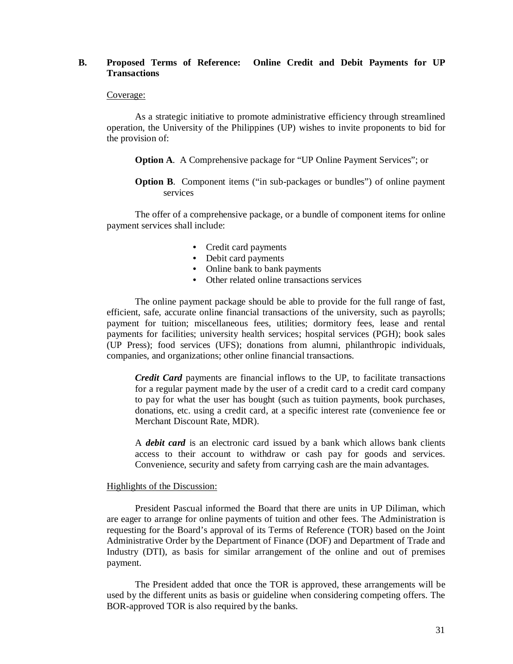## **B. Proposed Terms of Reference: Online Credit and Debit Payments for UP Transactions**

#### Coverage:

As a strategic initiative to promote administrative efficiency through streamlined operation, the University of the Philippines (UP) wishes to invite proponents to bid for the provision of:

**Option A**. A Comprehensive package for "UP Online Payment Services"; or

**Option B.** Component items ("in sub-packages or bundles") of online payment services

The offer of a comprehensive package, or a bundle of component items for online payment services shall include:

- Credit card payments
- Debit card payments
- Online bank to bank payments
- Other related online transactions services

The online payment package should be able to provide for the full range of fast, efficient, safe, accurate online financial transactions of the university, such as payrolls; payment for tuition; miscellaneous fees, utilities; dormitory fees, lease and rental payments for facilities; university health services; hospital services (PGH); book sales (UP Press); food services (UFS); donations from alumni, philanthropic individuals, companies, and organizations; other online financial transactions.

*Credit Card* payments are financial inflows to the UP, to facilitate transactions for a regular payment made by the user of a credit card to a credit card company to pay for what the user has bought (such as tuition payments, book purchases, donations, etc. using a credit card, at a specific interest rate (convenience fee or Merchant Discount Rate, MDR).

A *debit card* is an electronic card issued by a bank which allows bank clients access to their account to withdraw or cash pay for goods and services. Convenience, security and safety from carrying cash are the main advantages.

#### Highlights of the Discussion:

President Pascual informed the Board that there are units in UP Diliman, which are eager to arrange for online payments of tuition and other fees. The Administration is requesting for the Board's approval of its Terms of Reference (TOR) based on the Joint Administrative Order by the Department of Finance (DOF) and Department of Trade and Industry (DTI), as basis for similar arrangement of the online and out of premises payment.

The President added that once the TOR is approved, these arrangements will be used by the different units as basis or guideline when considering competing offers. The BOR-approved TOR is also required by the banks.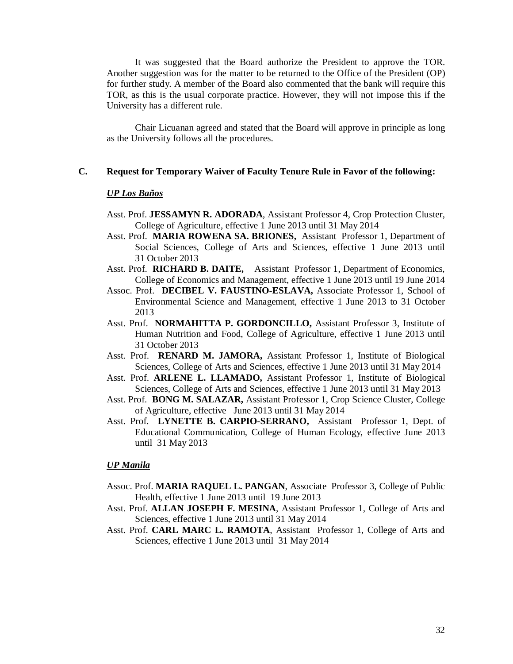It was suggested that the Board authorize the President to approve the TOR. Another suggestion was for the matter to be returned to the Office of the President (OP) for further study. A member of the Board also commented that the bank will require this TOR, as this is the usual corporate practice. However, they will not impose this if the University has a different rule.

Chair Licuanan agreed and stated that the Board will approve in principle as long as the University follows all the procedures.

## **C. Request for Temporary Waiver of Faculty Tenure Rule in Favor of the following:**

#### *UP Los Baños*

- Asst. Prof. **JESSAMYN R. ADORADA**, Assistant Professor 4, Crop Protection Cluster, College of Agriculture, effective 1 June 2013 until 31 May 2014
- Asst. Prof. **MARIA ROWENA SA. BRIONES,** Assistant Professor 1, Department of Social Sciences, College of Arts and Sciences, effective 1 June 2013 until 31 October 2013
- Asst. Prof. **RICHARD B. DAITE,** Assistant Professor 1, Department of Economics, College of Economics and Management, effective 1 June 2013 until 19 June 2014
- Assoc. Prof. **DECIBEL V. FAUSTINO-ESLAVA,** Associate Professor 1, School of Environmental Science and Management, effective 1 June 2013 to 31 October 2013
- Asst. Prof. **NORMAHITTA P. GORDONCILLO,** Assistant Professor 3, Institute of Human Nutrition and Food, College of Agriculture, effective 1 June 2013 until 31 October 2013
- Asst. Prof. **RENARD M. JAMORA,** Assistant Professor 1, Institute of Biological Sciences, College of Arts and Sciences, effective 1 June 2013 until 31 May 2014
- Asst. Prof. **ARLENE L. LLAMADO,** Assistant Professor 1, Institute of Biological Sciences, College of Arts and Sciences, effective 1 June 2013 until 31 May 2013
- Asst. Prof. **BONG M. SALAZAR,** Assistant Professor 1, Crop Science Cluster, College of Agriculture, effective June 2013 until 31 May 2014
- Asst. Prof. **LYNETTE B. CARPIO-SERRANO,** Assistant Professor 1, Dept. of Educational Communication, College of Human Ecology, effective June 2013 until 31 May 2013

#### *UP Manila*

- Assoc. Prof. **MARIA RAQUEL L. PANGAN**, Associate Professor 3, College of Public Health, effective 1 June 2013 until 19 June 2013
- Asst. Prof. **ALLAN JOSEPH F. MESINA**, Assistant Professor 1, College of Arts and Sciences, effective 1 June 2013 until 31 May 2014
- Asst. Prof. **CARL MARC L. RAMOTA**, Assistant Professor 1, College of Arts and Sciences, effective 1 June 2013 until 31 May 2014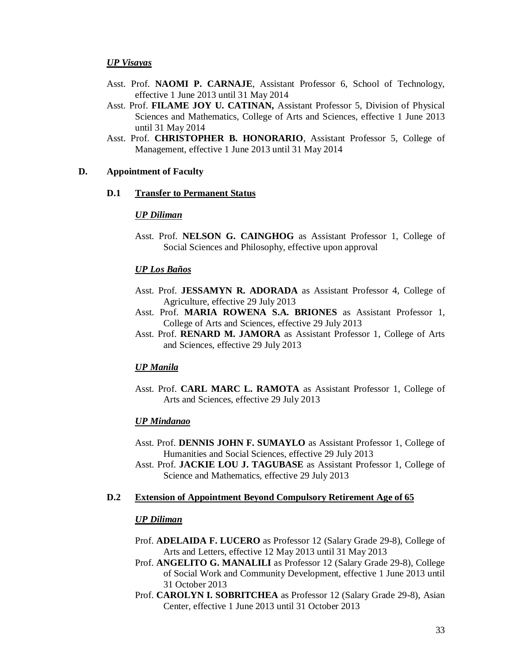### *UP Visayas*

- Asst. Prof. **NAOMI P. CARNAJE**, Assistant Professor 6, School of Technology, effective 1 June 2013 until 31 May 2014
- Asst. Prof. **FILAME JOY U. CATINAN,** Assistant Professor 5, Division of Physical Sciences and Mathematics, College of Arts and Sciences, effective 1 June 2013 until 31 May 2014
- Asst. Prof. **CHRISTOPHER B. HONORARIO**, Assistant Professor 5, College of Management, effective 1 June 2013 until 31 May 2014

## **D. Appointment of Faculty**

### **D.1 Transfer to Permanent Status**

#### *UP Diliman*

Asst. Prof. **NELSON G. CAINGHOG** as Assistant Professor 1, College of Social Sciences and Philosophy, effective upon approval

#### *UP Los Baños*

- Asst. Prof. **JESSAMYN R. ADORADA** as Assistant Professor 4, College of Agriculture, effective 29 July 2013
- Asst. Prof. **MARIA ROWENA S.A. BRIONES** as Assistant Professor 1, College of Arts and Sciences, effective 29 July 2013
- Asst. Prof. **RENARD M. JAMORA** as Assistant Professor 1, College of Arts and Sciences, effective 29 July 2013

#### *UP Manila*

Asst. Prof. **CARL MARC L. RAMOTA** as Assistant Professor 1, College of Arts and Sciences, effective 29 July 2013

#### *UP Mindanao*

- Asst. Prof. **DENNIS JOHN F. SUMAYLO** as Assistant Professor 1, College of Humanities and Social Sciences, effective 29 July 2013
- Asst. Prof. **JACKIE LOU J. TAGUBASE** as Assistant Professor 1, College of Science and Mathematics, effective 29 July 2013

### **D.2 Extension of Appointment Beyond Compulsory Retirement Age of 65**

#### *UP Diliman*

- Prof. **ADELAIDA F. LUCERO** as Professor 12 (Salary Grade 29-8), College of Arts and Letters, effective 12 May 2013 until 31 May 2013
- Prof. **ANGELITO G. MANALILI** as Professor 12 (Salary Grade 29-8), College of Social Work and Community Development, effective 1 June 2013 until 31 October 2013
- Prof. **CAROLYN I. SOBRITCHEA** as Professor 12 (Salary Grade 29-8), Asian Center, effective 1 June 2013 until 31 October 2013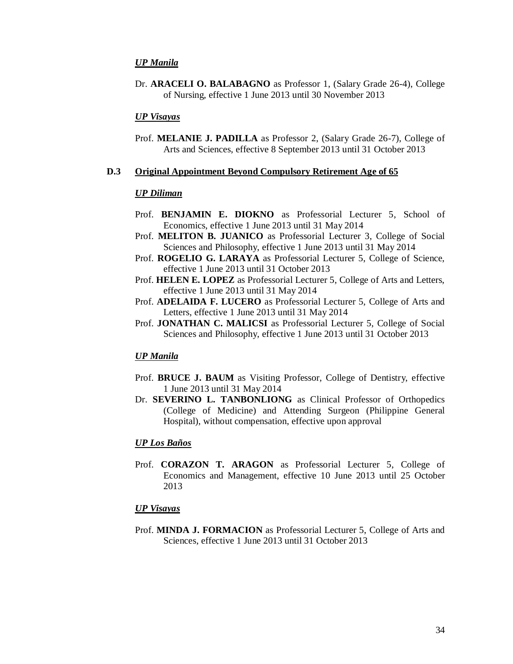#### *UP Manila*

Dr. **ARACELI O. BALABAGNO** as Professor 1, (Salary Grade 26-4), College of Nursing, effective 1 June 2013 until 30 November 2013

## *UP Visayas*

Prof. **MELANIE J. PADILLA** as Professor 2, (Salary Grade 26-7), College of Arts and Sciences, effective 8 September 2013 until 31 October 2013

### **D.3 Original Appointment Beyond Compulsory Retirement Age of 65**

### *UP Diliman*

- Prof. **BENJAMIN E. DIOKNO** as Professorial Lecturer 5, School of Economics, effective 1 June 2013 until 31 May 2014
- Prof. **MELITON B. JUANICO** as Professorial Lecturer 3, College of Social Sciences and Philosophy, effective 1 June 2013 until 31 May 2014
- Prof. **ROGELIO G. LARAYA** as Professorial Lecturer 5, College of Science, effective 1 June 2013 until 31 October 2013
- Prof. **HELEN E. LOPEZ** as Professorial Lecturer 5, College of Arts and Letters, effective 1 June 2013 until 31 May 2014
- Prof. **ADELAIDA F. LUCERO** as Professorial Lecturer 5, College of Arts and Letters, effective 1 June 2013 until 31 May 2014
- Prof. **JONATHAN C. MALICSI** as Professorial Lecturer 5, College of Social Sciences and Philosophy, effective 1 June 2013 until 31 October 2013

#### *UP Manila*

- Prof. **BRUCE J. BAUM** as Visiting Professor, College of Dentistry, effective 1 June 2013 until 31 May 2014
- Dr. **SEVERINO L. TANBONLIONG** as Clinical Professor of Orthopedics (College of Medicine) and Attending Surgeon (Philippine General Hospital), without compensation, effective upon approval

#### *UP Los Baños*

Prof. **CORAZON T. ARAGON** as Professorial Lecturer 5, College of Economics and Management, effective 10 June 2013 until 25 October 2013

#### *UP Visayas*

Prof. **MINDA J. FORMACION** as Professorial Lecturer 5, College of Arts and Sciences, effective 1 June 2013 until 31 October 2013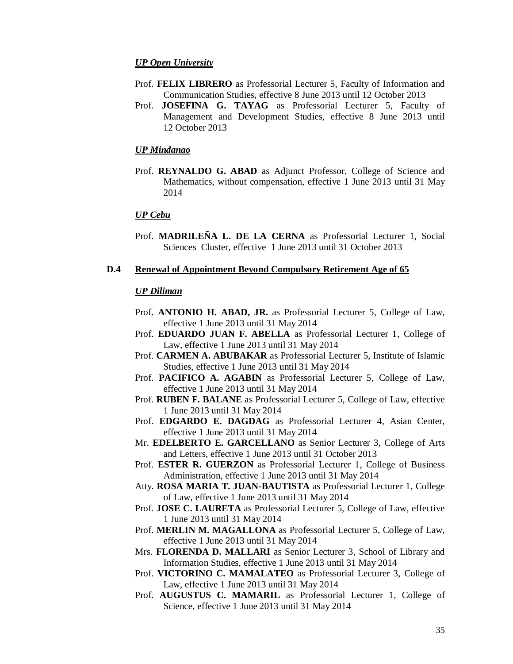#### *UP Open University*

- Prof. **FELIX LIBRERO** as Professorial Lecturer 5, Faculty of Information and Communication Studies, effective 8 June 2013 until 12 October 2013
- Prof. **JOSEFINA G. TAYAG** as Professorial Lecturer 5, Faculty of Management and Development Studies, effective 8 June 2013 until 12 October 2013

#### *UP Mindanao*

Prof. **REYNALDO G. ABAD** as Adjunct Professor, College of Science and Mathematics, without compensation, effective 1 June 2013 until 31 May 2014

#### *UP Cebu*

Prof. **MADRILEÑA L. DE LA CERNA** as Professorial Lecturer 1, Social Sciences Cluster, effective 1 June 2013 until 31 October 2013

#### **D.4 Renewal of Appointment Beyond Compulsory Retirement Age of 65**

### *UP Diliman*

- Prof. **ANTONIO H. ABAD, JR.** as Professorial Lecturer 5, College of Law, effective 1 June 2013 until 31 May 2014
- Prof. **EDUARDO JUAN F. ABELLA** as Professorial Lecturer 1, College of Law, effective 1 June 2013 until 31 May 2014
- Prof. **CARMEN A. ABUBAKAR** as Professorial Lecturer 5, Institute of Islamic Studies, effective 1 June 2013 until 31 May 2014
- Prof. **PACIFICO A. AGABIN** as Professorial Lecturer 5, College of Law, effective 1 June 2013 until 31 May 2014
- Prof. **RUBEN F. BALANE** as Professorial Lecturer 5, College of Law, effective 1 June 2013 until 31 May 2014
- Prof. **EDGARDO E. DAGDAG** as Professorial Lecturer 4, Asian Center, effective 1 June 2013 until 31 May 2014
- Mr. **EDELBERTO E. GARCELLANO** as Senior Lecturer 3, College of Arts and Letters, effective 1 June 2013 until 31 October 2013
- Prof. **ESTER R. GUERZON** as Professorial Lecturer 1, College of Business Administration, effective 1 June 2013 until 31 May 2014
- Atty. **ROSA MARIA T. JUAN-BAUTISTA** as Professorial Lecturer 1, College of Law, effective 1 June 2013 until 31 May 2014
- Prof. **JOSE C. LAURETA** as Professorial Lecturer 5, College of Law, effective 1 June 2013 until 31 May 2014
- Prof. **MERLIN M. MAGALLONA** as Professorial Lecturer 5, College of Law, effective 1 June 2013 until 31 May 2014
- Mrs. **FLORENDA D. MALLARI** as Senior Lecturer 3, School of Library and Information Studies, effective 1 June 2013 until 31 May 2014
- Prof. **VICTORINO C. MAMALATEO** as Professorial Lecturer 3, College of Law, effective 1 June 2013 until 31 May 2014
- Prof. **AUGUSTUS C. MAMARIL** as Professorial Lecturer 1, College of Science, effective 1 June 2013 until 31 May 2014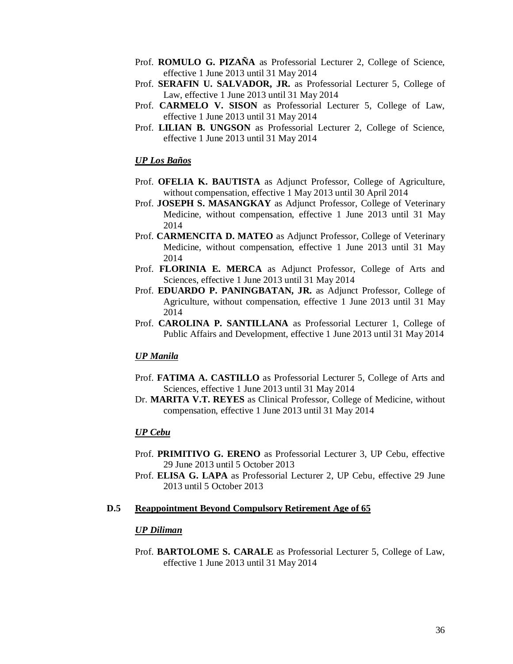- Prof. **ROMULO G. PIZAÑA** as Professorial Lecturer 2, College of Science, effective 1 June 2013 until 31 May 2014
- Prof. **SERAFIN U. SALVADOR, JR.** as Professorial Lecturer 5, College of Law, effective 1 June 2013 until 31 May 2014
- Prof. **CARMELO V. SISON** as Professorial Lecturer 5, College of Law, effective 1 June 2013 until 31 May 2014
- Prof. **LILIAN B. UNGSON** as Professorial Lecturer 2, College of Science, effective 1 June 2013 until 31 May 2014

### *UP Los Baños*

- Prof. **OFELIA K. BAUTISTA** as Adjunct Professor, College of Agriculture, without compensation, effective 1 May 2013 until 30 April 2014
- Prof. **JOSEPH S. MASANGKAY** as Adjunct Professor, College of Veterinary Medicine, without compensation, effective 1 June 2013 until 31 May 2014
- Prof. **CARMENCITA D. MATEO** as Adjunct Professor, College of Veterinary Medicine, without compensation, effective 1 June 2013 until 31 May 2014
- Prof. **FLORINIA E. MERCA** as Adjunct Professor, College of Arts and Sciences, effective 1 June 2013 until 31 May 2014
- Prof. **EDUARDO P. PANINGBATAN, JR.** as Adjunct Professor, College of Agriculture, without compensation, effective 1 June 2013 until 31 May 2014
- Prof. **CAROLINA P. SANTILLANA** as Professorial Lecturer 1, College of Public Affairs and Development, effective 1 June 2013 until 31 May 2014

#### *UP Manila*

- Prof. **FATIMA A. CASTILLO** as Professorial Lecturer 5, College of Arts and Sciences, effective 1 June 2013 until 31 May 2014
- Dr. **MARITA V.T. REYES** as Clinical Professor, College of Medicine, without compensation, effective 1 June 2013 until 31 May 2014

### *UP Cebu*

- Prof. **PRIMITIVO G. ERENO** as Professorial Lecturer 3, UP Cebu, effective 29 June 2013 until 5 October 2013
- Prof. **ELISA G. LAPA** as Professorial Lecturer 2, UP Cebu, effective 29 June 2013 until 5 October 2013

### **D.5 Reappointment Beyond Compulsory Retirement Age of 65**

### *UP Diliman*

Prof. **BARTOLOME S. CARALE** as Professorial Lecturer 5, College of Law, effective 1 June 2013 until 31 May 2014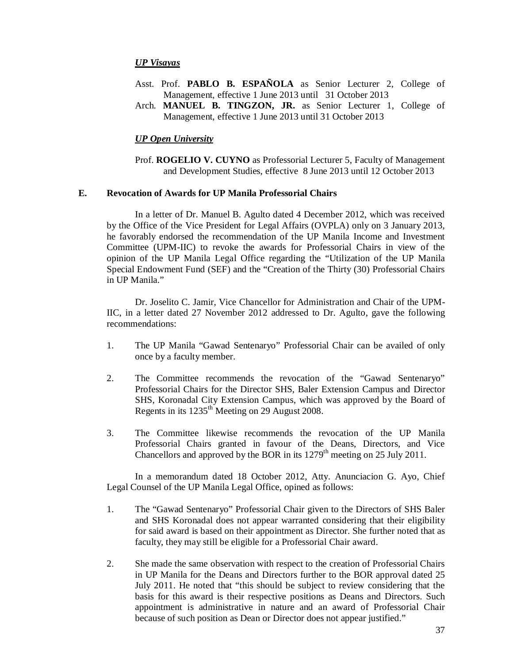### *UP Visayas*

- Asst. Prof. **PABLO B. ESPAÑOLA** as Senior Lecturer 2, College of Management, effective 1 June 2013 until 31 October 2013
- Arch. **MANUEL B. TINGZON, JR.** as Senior Lecturer 1, College of Management, effective 1 June 2013 until 31 October 2013

#### *UP Open University*

Prof. **ROGELIO V. CUYNO** as Professorial Lecturer 5, Faculty of Management and Development Studies, effective 8 June 2013 until 12 October 2013

#### **E. Revocation of Awards for UP Manila Professorial Chairs**

In a letter of Dr. Manuel B. Agulto dated 4 December 2012, which was received by the Office of the Vice President for Legal Affairs (OVPLA) only on 3 January 2013, he favorably endorsed the recommendation of the UP Manila Income and Investment Committee (UPM-IIC) to revoke the awards for Professorial Chairs in view of the opinion of the UP Manila Legal Office regarding the "Utilization of the UP Manila Special Endowment Fund (SEF) and the "Creation of the Thirty (30) Professorial Chairs in UP Manila."

Dr. Joselito C. Jamir, Vice Chancellor for Administration and Chair of the UPM-IIC, in a letter dated 27 November 2012 addressed to Dr. Agulto, gave the following recommendations:

- 1. The UP Manila "Gawad Sentenaryo" Professorial Chair can be availed of only once by a faculty member.
- 2. The Committee recommends the revocation of the "Gawad Sentenaryo" Professorial Chairs for the Director SHS, Baler Extension Campus and Director SHS, Koronadal City Extension Campus, which was approved by the Board of Regents in its 1235<sup>th</sup> Meeting on 29 August 2008.
- 3. The Committee likewise recommends the revocation of the UP Manila Professorial Chairs granted in favour of the Deans, Directors, and Vice Chancellors and approved by the BOR in its  $1279<sup>th</sup>$  meeting on 25 July 2011.

In a memorandum dated 18 October 2012, Atty. Anunciacion G. Ayo, Chief Legal Counsel of the UP Manila Legal Office, opined as follows:

- 1. The "Gawad Sentenaryo" Professorial Chair given to the Directors of SHS Baler and SHS Koronadal does not appear warranted considering that their eligibility for said award is based on their appointment as Director. She further noted that as faculty, they may still be eligible for a Professorial Chair award.
- 2. She made the same observation with respect to the creation of Professorial Chairs in UP Manila for the Deans and Directors further to the BOR approval dated 25 July 2011. He noted that "this should be subject to review considering that the basis for this award is their respective positions as Deans and Directors. Such appointment is administrative in nature and an award of Professorial Chair because of such position as Dean or Director does not appear justified."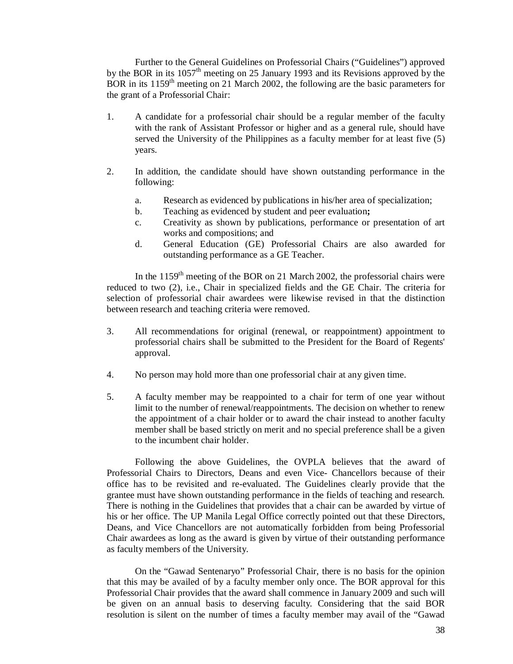Further to the General Guidelines on Professorial Chairs ("Guidelines") approved by the BOR in its 1057<sup>th</sup> meeting on 25 January 1993 and its Revisions approved by the BOR in its  $1159<sup>th</sup>$  meeting on 21 March 2002, the following are the basic parameters for the grant of a Professorial Chair:

- 1. A candidate for a professorial chair should be a regular member of the faculty with the rank of Assistant Professor or higher and as a general rule, should have served the University of the Philippines as a faculty member for at least five (5) years.
- 2. In addition, the candidate should have shown outstanding performance in the following:
	- a. Research as evidenced by publications in his/her area of specialization;
	- b. Teaching as evidenced by student and peer evaluation**;**
	- c. Creativity as shown by publications, performance or presentation of art works and compositions; and
	- d. General Education (GE) Professorial Chairs are also awarded for outstanding performance as a GE Teacher.

In the  $1159<sup>th</sup>$  meeting of the BOR on 21 March 2002, the professorial chairs were reduced to two (2), i.e., Chair in specialized fields and the GE Chair. The criteria for selection of professorial chair awardees were likewise revised in that the distinction between research and teaching criteria were removed.

- 3. All recommendations for original (renewal, or reappointment) appointment to professorial chairs shall be submitted to the President for the Board of Regents' approval.
- 4. No person may hold more than one professorial chair at any given time.
- 5. A faculty member may be reappointed to a chair for term of one year without limit to the number of renewal/reappointments. The decision on whether to renew the appointment of a chair holder or to award the chair instead to another faculty member shall be based strictly on merit and no special preference shall be a given to the incumbent chair holder.

Following the above Guidelines, the OVPLA believes that the award of Professorial Chairs to Directors, Deans and even Vice- Chancellors because of their office has to be revisited and re-evaluated. The Guidelines clearly provide that the grantee must have shown outstanding performance in the fields of teaching and research. There is nothing in the Guidelines that provides that a chair can be awarded by virtue of his or her office. The UP Manila Legal Office correctly pointed out that these Directors, Deans, and Vice Chancellors are not automatically forbidden from being Professorial Chair awardees as long as the award is given by virtue of their outstanding performance as faculty members of the University.

On the "Gawad Sentenaryo" Professorial Chair, there is no basis for the opinion that this may be availed of by a faculty member only once. The BOR approval for this Professorial Chair provides that the award shall commence in January 2009 and such will be given on an annual basis to deserving faculty. Considering that the said BOR resolution is silent on the number of times a faculty member may avail of the "Gawad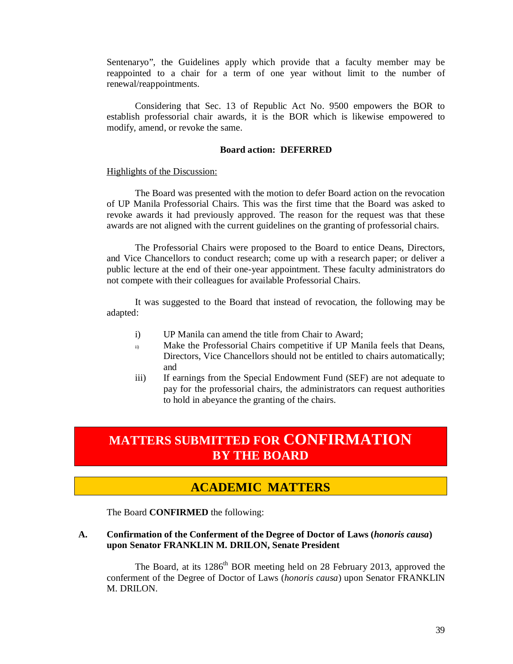Sentenaryo", the Guidelines apply which provide that a faculty member may be reappointed to a chair for a term of one year without limit to the number of renewal/reappointments.

Considering that Sec. 13 of Republic Act No. 9500 empowers the BOR to establish professorial chair awards, it is the BOR which is likewise empowered to modify, amend, or revoke the same.

### **Board action: DEFERRED**

#### Highlights of the Discussion:

The Board was presented with the motion to defer Board action on the revocation of UP Manila Professorial Chairs. This was the first time that the Board was asked to revoke awards it had previously approved. The reason for the request was that these awards are not aligned with the current guidelines on the granting of professorial chairs.

The Professorial Chairs were proposed to the Board to entice Deans, Directors, and Vice Chancellors to conduct research; come up with a research paper; or deliver a public lecture at the end of their one-year appointment. These faculty administrators do not compete with their colleagues for available Professorial Chairs.

It was suggested to the Board that instead of revocation, the following may be adapted:

- i) UP Manila can amend the title from Chair to Award;
- ii) Make the Professorial Chairs competitive if UP Manila feels that Deans, Directors, Vice Chancellors should not be entitled to chairs automatically; and
- iii) If earnings from the Special Endowment Fund (SEF) are not adequate to pay for the professorial chairs, the administrators can request authorities to hold in abeyance the granting of the chairs.

# **MATTERS SUBMITTED FOR CONFIRMATION BY THE BOARD**

## **ACADEMIC MATTERS**

The Board **CONFIRMED** the following:

## **A. Confirmation of the Conferment of the Degree of Doctor of Laws (***honoris causa***) upon Senator FRANKLIN M. DRILON, Senate President**

The Board, at its 1286<sup>th</sup> BOR meeting held on 28 February 2013, approved the conferment of the Degree of Doctor of Laws (*honoris causa*) upon Senator FRANKLIN M. DRILON.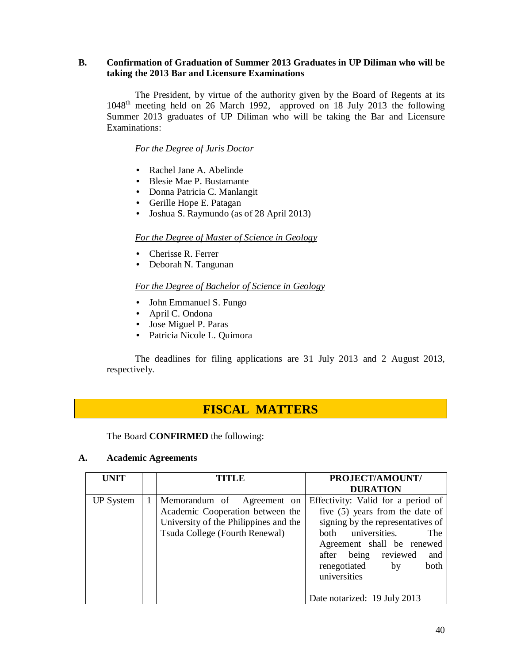## **B. Confirmation of Graduation of Summer 2013 Graduates in UP Diliman who will be taking the 2013 Bar and Licensure Examinations**

The President, by virtue of the authority given by the Board of Regents at its 1048th meeting held on 26 March 1992, approved on 18 July 2013 the following Summer 2013 graduates of UP Diliman who will be taking the Bar and Licensure Examinations:

*For the Degree of Juris Doctor*

- Rachel Jane A. Abelinde
- Blesie Mae P. Bustamante
- Donna Patricia C. Manlangit
- Gerille Hope E. Patagan
- Joshua S. Raymundo (as of 28 April 2013)

## *For the Degree of Master of Science in Geology*

- Cherisse R. Ferrer
- Deborah N. Tangunan

## *For the Degree of Bachelor of Science in Geology*

- John Emmanuel S. Fungo
- April C. Ondona
- Jose Miguel P. Paras
- Patricia Nicole L. Quimora

The deadlines for filing applications are 31 July 2013 and 2 August 2013, respectively.

## **FISCAL MATTERS**

The Board **CONFIRMED** the following:

## **A. Academic Agreements**

| <b>UNIT</b>      |   | TITLE                                                                                                                                     | PROJECT/AMOUNT/                                                                                                                                                                                                                                    |
|------------------|---|-------------------------------------------------------------------------------------------------------------------------------------------|----------------------------------------------------------------------------------------------------------------------------------------------------------------------------------------------------------------------------------------------------|
|                  |   |                                                                                                                                           | <b>DURATION</b>                                                                                                                                                                                                                                    |
| <b>UP</b> System | 1 | Memorandum of Agreement on<br>Academic Cooperation between the<br>University of the Philippines and the<br>Tsuda College (Fourth Renewal) | Effectivity: Valid for a period of<br>five (5) years from the date of<br>signing by the representatives of<br>both universities.<br>The<br>Agreement shall be renewed<br>after being reviewed<br>and<br>renegotiated<br>both<br>by<br>universities |
|                  |   |                                                                                                                                           | Date notarized: 19 July 2013                                                                                                                                                                                                                       |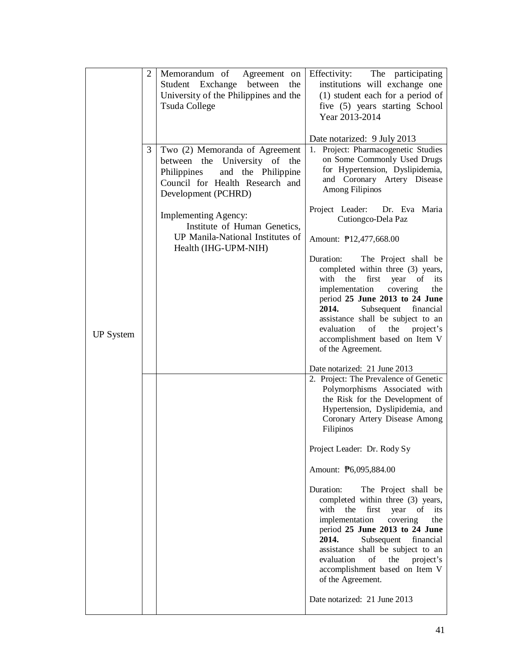|                  | $\overline{2}$ | Memorandum of Agreement on<br>Student Exchange between<br>the<br>University of the Philippines and the<br><b>Tsuda College</b>                                 | Effectivity: The participating<br>institutions will exchange one<br>(1) student each for a period of<br>five (5) years starting School<br>Year 2013-2014                                                                                                                                                                                                                                                                                                                                                                                                                                                                                                                              |
|------------------|----------------|----------------------------------------------------------------------------------------------------------------------------------------------------------------|---------------------------------------------------------------------------------------------------------------------------------------------------------------------------------------------------------------------------------------------------------------------------------------------------------------------------------------------------------------------------------------------------------------------------------------------------------------------------------------------------------------------------------------------------------------------------------------------------------------------------------------------------------------------------------------|
|                  | 3              | Two (2) Memoranda of Agreement<br>between the University of the<br>Philippines<br>and the Philippine<br>Council for Health Research and<br>Development (PCHRD) | Date notarized: 9 July 2013<br>1. Project: Pharmacogenetic Studies<br>on Some Commonly Used Drugs<br>for Hypertension, Dyslipidemia,<br>and Coronary Artery Disease<br>Among Filipinos                                                                                                                                                                                                                                                                                                                                                                                                                                                                                                |
|                  |                | Implementing Agency:<br>Institute of Human Genetics,<br>UP Manila-National Institutes of                                                                       | Project Leader:<br>Dr. Eva Maria<br>Cutiongco-Dela Paz                                                                                                                                                                                                                                                                                                                                                                                                                                                                                                                                                                                                                                |
| <b>UP</b> System |                | Health (IHG-UPM-NIH)                                                                                                                                           | Amount: \; P12,477,668.00<br>Duration:<br>The Project shall be<br>completed within three (3) years,<br>with<br>the<br>first<br>year<br>of<br>its<br>implementation<br>covering<br>the<br>period 25 June 2013 to 24 June<br>2014.<br>Subsequent<br>financial<br>assistance shall be subject to an<br>evaluation<br>of<br>the<br>project's<br>accomplishment based on Item V<br>of the Agreement.<br>Date notarized: 21 June 2013<br>2. Project: The Prevalence of Genetic<br>Polymorphisms Associated with<br>the Risk for the Development of<br>Hypertension, Dyslipidemia, and<br>Coronary Artery Disease Among<br>Filipinos<br>Project Leader: Dr. Rody Sy<br>Amount: P6,095,884.00 |
|                  |                |                                                                                                                                                                | Duration:<br>The Project shall be<br>completed within three (3) years,<br>with<br>the<br>first<br>year<br>its<br>of<br>implementation<br>covering<br>the<br>period 25 June 2013 to 24 June<br>2014.<br>Subsequent<br>financial<br>assistance shall be subject to an<br>evaluation<br>the<br>of<br>project's<br>accomplishment based on Item V<br>of the Agreement.<br>Date notarized: 21 June 2013                                                                                                                                                                                                                                                                                    |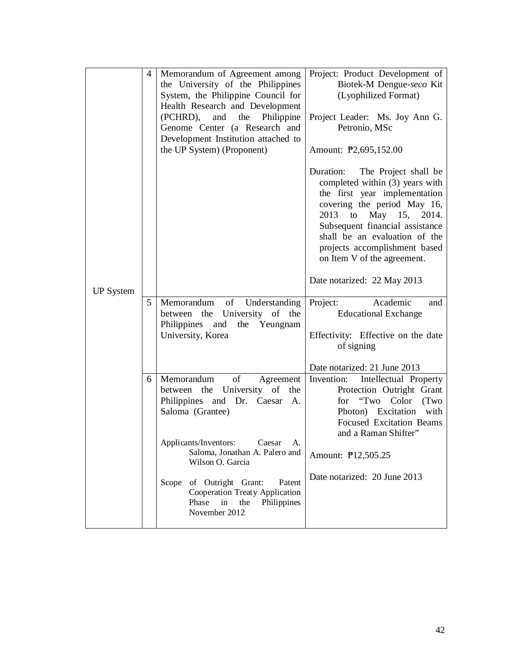| <b>UP System</b> | 4 | Memorandum of Agreement among<br>the University of the Philippines<br>System, the Philippine Council for<br>Health Research and Development<br>(PCHRD),<br>and<br>the<br>Philippine<br>Genome Center (a Research and<br>Development Institution attached to<br>the UP System) (Proponent) | Project: Product Development of<br>Biotek-M Dengue-seco Kit<br>(Lyophilized Format)<br>Project Leader: Ms. Joy Ann G.<br>Petronio, MSc<br>Amount: P2,695,152.00<br>Duration:<br>The Project shall be<br>completed within (3) years with<br>the first year implementation<br>covering the period May 16,<br>May 15, 2014.<br>2013<br>to<br>Subsequent financial assistance<br>shall be an evaluation of the<br>projects accomplishment based<br>on Item V of the agreement.<br>Date notarized: 22 May 2013 |
|------------------|---|-------------------------------------------------------------------------------------------------------------------------------------------------------------------------------------------------------------------------------------------------------------------------------------------|-----------------------------------------------------------------------------------------------------------------------------------------------------------------------------------------------------------------------------------------------------------------------------------------------------------------------------------------------------------------------------------------------------------------------------------------------------------------------------------------------------------|
|                  | 5 | of<br>Understanding<br>Memorandum<br>between the University of the<br>Philippines and the Yeungnam<br>University, Korea                                                                                                                                                                   | Academic<br>Project:<br>and<br><b>Educational Exchange</b><br>Effectivity: Effective on the date<br>of signing                                                                                                                                                                                                                                                                                                                                                                                            |
|                  | 6 | Memorandum<br>of<br>Agreement<br>University of the<br>between the<br>Philippines and Dr. Caesar<br>A.<br>Saloma (Grantee)                                                                                                                                                                 | Date notarized: 21 June 2013<br>Intellectual Property<br>Invention:<br>Protection Outright Grant<br>for "Two Color<br>(Two<br>Photon) Excitation with<br><b>Focused Excitation Beams</b><br>and a Raman Shifter"                                                                                                                                                                                                                                                                                          |
|                  |   | Applicants/Inventors:<br>Caesar<br>A.<br>Saloma, Jonathan A. Palero and<br>Wilson O. Garcia                                                                                                                                                                                               | Amount: <b>P12,505.25</b>                                                                                                                                                                                                                                                                                                                                                                                                                                                                                 |
|                  |   | Scope of Outright Grant:<br>Patent<br><b>Cooperation Treaty Application</b><br>Phase<br>in<br>Philippines<br>the<br>November 2012                                                                                                                                                         | Date notarized: 20 June 2013                                                                                                                                                                                                                                                                                                                                                                                                                                                                              |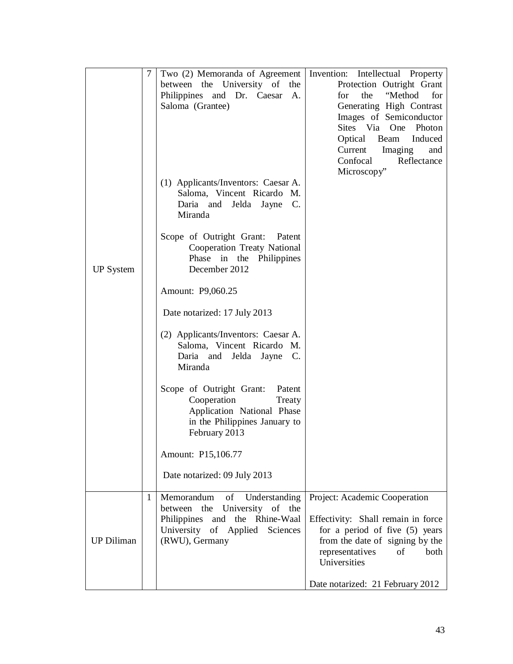|                   | 7 | Two (2) Memoranda of Agreement<br>between the University of the<br>Philippines and Dr. Caesar<br>А.<br>Saloma (Grantee)                            | Invention: Intellectual Property<br>Protection Outright Grant<br>"Method<br>for<br>for<br>the<br>Generating High Contrast<br>Images of Semiconductor<br>Sites Via<br>Photon<br>One<br>Optical Beam Induced<br>Current<br>Imaging<br>and |
|-------------------|---|----------------------------------------------------------------------------------------------------------------------------------------------------|-----------------------------------------------------------------------------------------------------------------------------------------------------------------------------------------------------------------------------------------|
|                   |   | (1) Applicants/Inventors: Caesar A.<br>Saloma, Vincent Ricardo M.<br>Daria and Jelda Jayne C.<br>Miranda                                           | Confocal<br>Reflectance<br>Microscopy"                                                                                                                                                                                                  |
| <b>UP</b> System  |   | Scope of Outright Grant: Patent<br>Cooperation Treaty National<br>Phase<br>in the Philippines<br>December 2012                                     |                                                                                                                                                                                                                                         |
|                   |   | Amount: P9,060.25                                                                                                                                  |                                                                                                                                                                                                                                         |
|                   |   | Date notarized: 17 July 2013                                                                                                                       |                                                                                                                                                                                                                                         |
|                   |   | (2) Applicants/Inventors: Caesar A.<br>Saloma, Vincent Ricardo M.<br>Daria and Jelda Jayne C.<br>Miranda                                           |                                                                                                                                                                                                                                         |
|                   |   | Scope of Outright Grant: Patent<br>Cooperation<br>Treaty<br>Application National Phase<br>in the Philippines January to<br>February 2013           |                                                                                                                                                                                                                                         |
|                   |   | Amount: P15,106.77                                                                                                                                 |                                                                                                                                                                                                                                         |
|                   |   | Date notarized: 09 July 2013                                                                                                                       |                                                                                                                                                                                                                                         |
| <b>UP Diliman</b> | 1 | Memorandum of Understanding<br>between the University of the<br>Philippines and the Rhine-Waal<br>University of Applied Sciences<br>(RWU), Germany | Project: Academic Cooperation<br>Effectivity: Shall remain in force<br>for a period of five (5) years<br>from the date of signing by the<br>representatives<br>of<br>both<br>Universities                                               |
|                   |   |                                                                                                                                                    | Date notarized: 21 February 2012                                                                                                                                                                                                        |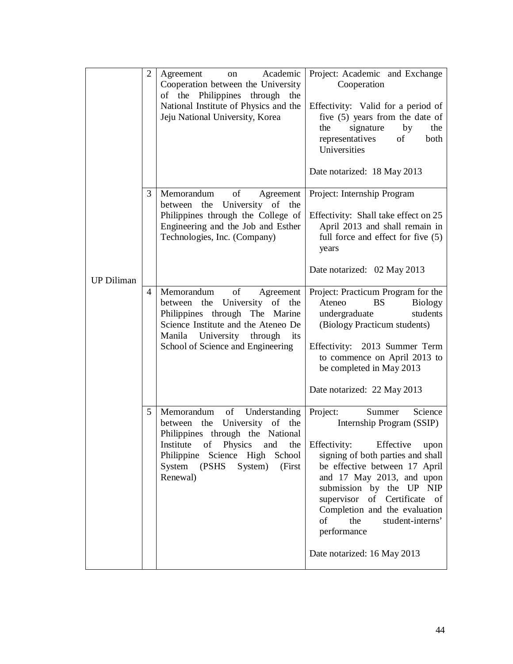|                   | $\overline{2}$ | Academic<br>Agreement<br>on<br>Cooperation between the University<br>of the Philippines through<br>the<br>National Institute of Physics and the<br>Jeju National University, Korea                                                                                              | Project: Academic and Exchange<br>Cooperation<br>Effectivity: Valid for a period of<br>five $(5)$ years from the date of<br>signature<br>by<br>the<br>the<br>representatives<br>of<br>both<br>Universities<br>Date notarized: 18 May 2013                                                                                                                                         |
|-------------------|----------------|---------------------------------------------------------------------------------------------------------------------------------------------------------------------------------------------------------------------------------------------------------------------------------|-----------------------------------------------------------------------------------------------------------------------------------------------------------------------------------------------------------------------------------------------------------------------------------------------------------------------------------------------------------------------------------|
| <b>UP Diliman</b> | 3              | of<br>Memorandum<br>Agreement<br>between the University of the<br>Philippines through the College of<br>Engineering and the Job and Esther<br>Technologies, Inc. (Company)                                                                                                      | Project: Internship Program<br>Effectivity: Shall take effect on 25<br>April 2013 and shall remain in<br>full force and effect for five (5)<br>years<br>Date notarized: 02 May 2013                                                                                                                                                                                               |
|                   | $\overline{4}$ | $% \left( \left( \mathcal{A},\mathcal{A}\right) \right)$ of<br>Memorandum<br>Agreement<br>University<br>of the<br>between the<br>Philippines through The Marine<br>Science Institute and the Ateneo De<br>Manila University through<br>its<br>School of Science and Engineering | Project: Practicum Program for the<br>Ateneo<br><b>BS</b><br><b>Biology</b><br>students<br>undergraduate<br>(Biology Practicum students)<br>Effectivity: 2013 Summer Term<br>to commence on April 2013 to<br>be completed in May 2013<br>Date notarized: 22 May 2013                                                                                                              |
|                   | 5              | Memorandum<br>of<br>Understanding<br>University<br>between the<br>of the<br>Philippines through the National<br>of Physics<br>Institute<br>the<br>and<br>Philippine Science High School<br>System<br>(PSHS<br>System)<br>(First<br>Renewal)                                     | Science<br>Project:<br>Summer<br>Internship Program (SSIP)<br>Effectivity:<br>Effective<br>upon<br>signing of both parties and shall<br>be effective between 17 April<br>and 17 May 2013, and upon<br>submission by the UP NIP<br>supervisor<br>of Certificate of<br>Completion and the evaluation<br>the<br>of<br>student-interns'<br>performance<br>Date notarized: 16 May 2013 |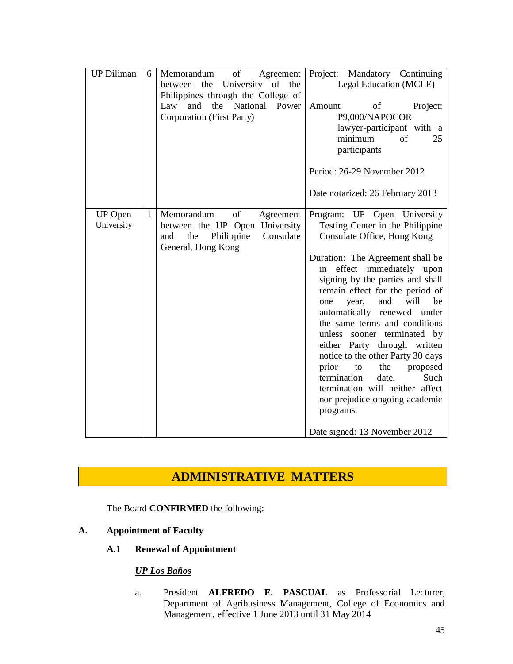| <b>UP Diliman</b>            | 6            | of<br>Memorandum<br>Agreement<br>between the<br>University of the<br>Philippines through the College of<br>National Power<br>and<br>the<br>Law<br>Corporation (First Party) | Project: Mandatory Continuing<br>Legal Education (MCLE)<br>Project:<br>Amount<br>of<br>P9,000/NAPOCOR<br>lawyer-participant with a<br>minimum<br>of<br>25<br>participants<br>Period: 26-29 November 2012<br>Date notarized: 26 February 2013                                                                                                                                                                                                                                                                                                                                                                                             |
|------------------------------|--------------|-----------------------------------------------------------------------------------------------------------------------------------------------------------------------------|------------------------------------------------------------------------------------------------------------------------------------------------------------------------------------------------------------------------------------------------------------------------------------------------------------------------------------------------------------------------------------------------------------------------------------------------------------------------------------------------------------------------------------------------------------------------------------------------------------------------------------------|
| <b>UP</b> Open<br>University | $\mathbf{1}$ | Memorandum<br>of<br>Agreement<br>University<br>between the UP Open<br>Philippine<br>Consulate<br>the<br>and<br>General, Hong Kong                                           | Program: UP Open University<br>Testing Center in the Philippine<br>Consulate Office, Hong Kong<br>Duration: The Agreement shall be<br>in effect immediately<br>upon<br>signing by the parties and shall<br>remain effect for the period of<br>will<br>and<br>be<br>year,<br>one<br>automatically renewed under<br>the same terms and conditions<br>unless sooner terminated by<br>either Party through written<br>notice to the other Party 30 days<br>prior<br>the<br>proposed<br>to<br>Such<br>termination<br>date.<br>termination will neither affect<br>nor prejudice ongoing academic<br>programs.<br>Date signed: 13 November 2012 |

## **ADMINISTRATIVE MATTERS**

The Board **CONFIRMED** the following:

## **A. Appointment of Faculty**

## **A.1 Renewal of Appointment**

## *UP Los Baños*

a. President **ALFREDO E. PASCUAL** as Professorial Lecturer, Department of Agribusiness Management, College of Economics and Management, effective 1 June 2013 until 31 May 2014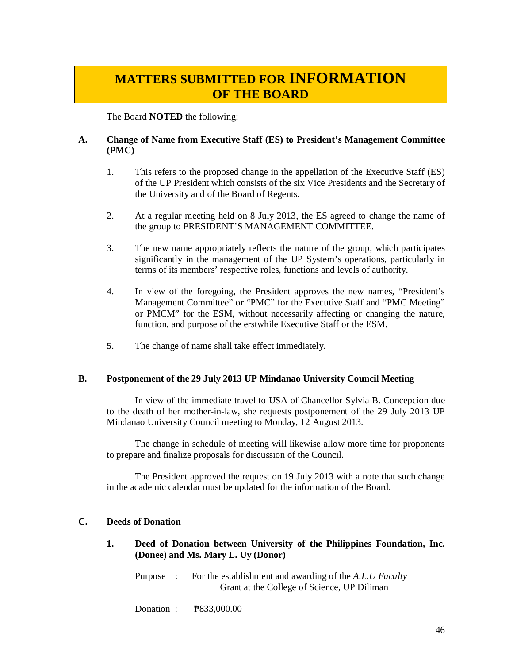# **MATTERS SUBMITTED FOR INFORMATION OF THE BOARD**

The Board **NOTED** the following:

## **A. Change of Name from Executive Staff (ES) to President's Management Committee (PMC)**

- 1. This refers to the proposed change in the appellation of the Executive Staff (ES) of the UP President which consists of the six Vice Presidents and the Secretary of the University and of the Board of Regents.
- 2. At a regular meeting held on 8 July 2013, the ES agreed to change the name of the group to PRESIDENT'S MANAGEMENT COMMITTEE.
- 3. The new name appropriately reflects the nature of the group, which participates significantly in the management of the UP System's operations, particularly in terms of its members' respective roles, functions and levels of authority.
- 4. In view of the foregoing, the President approves the new names, "President's Management Committee" or "PMC" for the Executive Staff and "PMC Meeting" or PMCM" for the ESM, without necessarily affecting or changing the nature, function, and purpose of the erstwhile Executive Staff or the ESM.
- 5. The change of name shall take effect immediately.

## **B. Postponement of the 29 July 2013 UP Mindanao University Council Meeting**

In view of the immediate travel to USA of Chancellor Sylvia B. Concepcion due to the death of her mother-in-law, she requests postponement of the 29 July 2013 UP Mindanao University Council meeting to Monday, 12 August 2013.

The change in schedule of meeting will likewise allow more time for proponents to prepare and finalize proposals for discussion of the Council.

The President approved the request on 19 July 2013 with a note that such change in the academic calendar must be updated for the information of the Board.

## **C. Deeds of Donation**

**1. Deed of Donation between University of the Philippines Foundation, Inc. (Donee) and Ms. Mary L. Uy (Donor)** 

Purpose : For the establishment and awarding of the *A.L.U Faculty*  Grant at the College of Science, UP Diliman

Donation : ₱833,000.00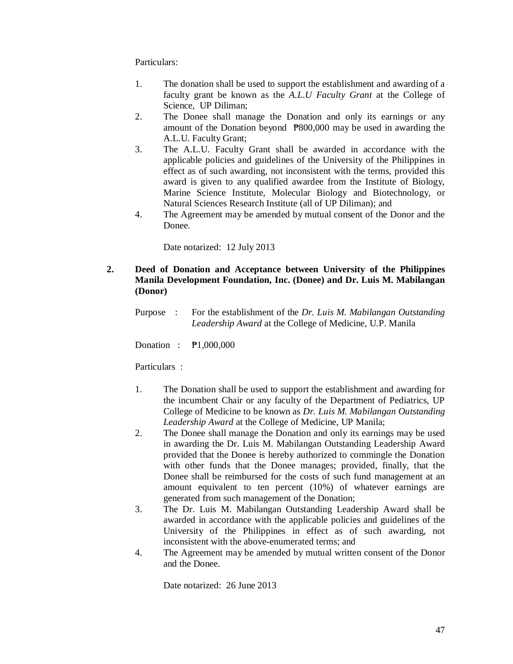Particulars:

- 1. The donation shall be used to support the establishment and awarding of a faculty grant be known as the *A.L.U Faculty Grant* at the College of Science, UP Diliman;
- 2. The Donee shall manage the Donation and only its earnings or any amount of the Donation beyond ₱800,000 may be used in awarding the A.L.U. Faculty Grant;
- 3. The A.L.U. Faculty Grant shall be awarded in accordance with the applicable policies and guidelines of the University of the Philippines in effect as of such awarding, not inconsistent with the terms, provided this award is given to any qualified awardee from the Institute of Biology, Marine Science Institute, Molecular Biology and Biotechnology, or Natural Sciences Research Institute (all of UP Diliman); and
- 4. The Agreement may be amended by mutual consent of the Donor and the Donee.

Date notarized: 12 July 2013

## **2. Deed of Donation and Acceptance between University of the Philippines Manila Development Foundation, Inc. (Donee) and Dr. Luis M. Mabilangan (Donor)**

Purpose : For the establishment of the *Dr. Luis M. Mabilangan Outstanding Leadership Award* at the College of Medicine, U.P. Manila

Donation : ₱1,000,000

Particulars :

- 1. The Donation shall be used to support the establishment and awarding for the incumbent Chair or any faculty of the Department of Pediatrics, UP College of Medicine to be known as *Dr. Luis M. Mabilangan Outstanding Leadership Award* at the College of Medicine, UP Manila;
- 2. The Donee shall manage the Donation and only its earnings may be used in awarding the Dr. Luis M. Mabilangan Outstanding Leadership Award provided that the Donee is hereby authorized to commingle the Donation with other funds that the Donee manages; provided, finally, that the Donee shall be reimbursed for the costs of such fund management at an amount equivalent to ten percent (10%) of whatever earnings are generated from such management of the Donation;
- 3. The Dr. Luis M. Mabilangan Outstanding Leadership Award shall be awarded in accordance with the applicable policies and guidelines of the University of the Philippines in effect as of such awarding, not inconsistent with the above-enumerated terms; and
- 4. The Agreement may be amended by mutual written consent of the Donor and the Donee.

Date notarized: 26 June 2013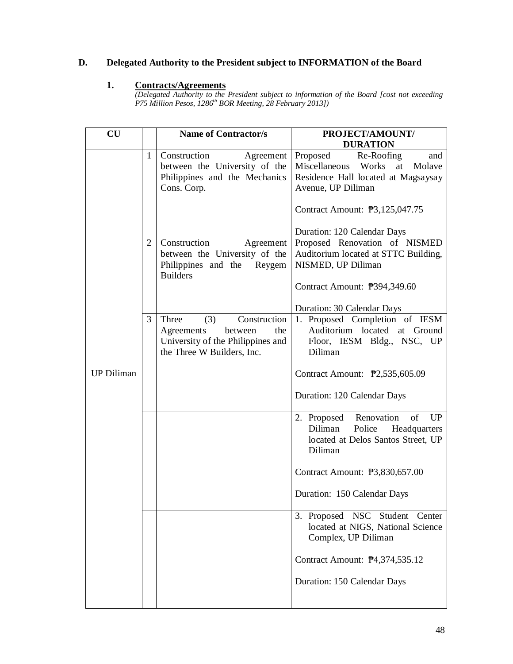## **D. Delegated Authority to the President subject to INFORMATION of the Board**

## **1. Contracts/Agreements**

*(Delegated Authority to the President subject to information of the Board [cost not exceeding P75 Million Pesos, 1286th BOR Meeting, 28 February 2013])*

| $\mathbf{C}\mathbf{U}$ |                   | <b>Name of Contractor/s</b>                                                                                                                                                                                                  | PROJECT/AMOUNT/                                                                                                                                                                                                                                                                                                                                                 |
|------------------------|-------------------|------------------------------------------------------------------------------------------------------------------------------------------------------------------------------------------------------------------------------|-----------------------------------------------------------------------------------------------------------------------------------------------------------------------------------------------------------------------------------------------------------------------------------------------------------------------------------------------------------------|
|                        | $\mathbf{1}$<br>2 | Construction<br>Agreement<br>between the University of the<br>Philippines and the Mechanics<br>Cons. Corp.<br>Construction<br>Agreement<br>between the University of the<br>Philippines and the<br>Reygem<br><b>Builders</b> | <b>DURATION</b><br>Proposed<br>Re-Roofing<br>and<br>Miscellaneous<br>Works<br>Molave<br>at<br>Residence Hall located at Magsaysay<br>Avenue, UP Diliman<br>Contract Amount: <b>P</b> 3,125,047.75<br>Duration: 120 Calendar Days<br>Proposed Renovation of NISMED<br>Auditorium located at STTC Building,<br>NISMED, UP Diliman<br>Contract Amount: P394,349.60 |
| <b>UP Diliman</b>      | 3                 | Construction<br>Three<br>(3)<br>Agreements<br>the<br>between<br>University of the Philippines and<br>the Three W Builders, Inc.                                                                                              | Duration: 30 Calendar Days<br>1. Proposed Completion of IESM<br>Auditorium located at Ground<br>Floor, IESM Bldg., NSC, UP<br>Diliman<br>Contract Amount: <b>P2</b> ,535,605.09<br>Duration: 120 Calendar Days                                                                                                                                                  |
|                        |                   |                                                                                                                                                                                                                              | Renovation<br>of<br>2. Proposed<br>UP<br>Diliman<br>Police<br>Headquarters<br>located at Delos Santos Street, UP<br>Diliman<br>Contract Amount: <b>P</b> 3,830,657.00<br>Duration: 150 Calendar Days                                                                                                                                                            |
|                        |                   |                                                                                                                                                                                                                              | 3. Proposed NSC Student Center<br>located at NIGS, National Science<br>Complex, UP Diliman<br>Contract Amount: P4,374,535.12<br>Duration: 150 Calendar Days                                                                                                                                                                                                     |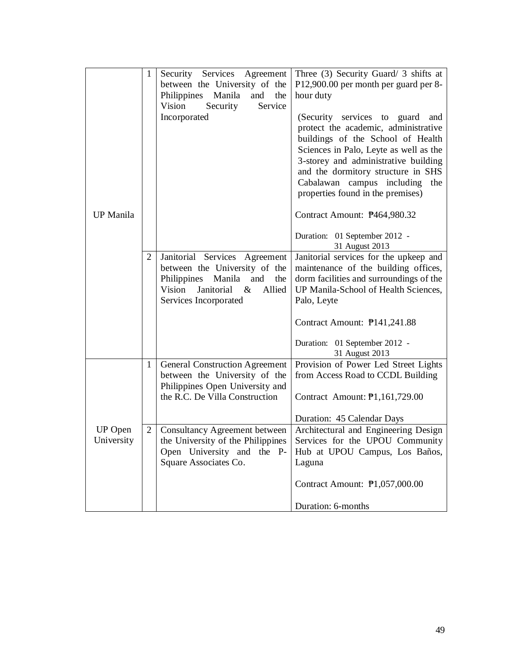|                       | 1            | Security Services<br>Agreement<br>between the University of the<br>Philippines Manila<br>and<br>the<br>Vision<br>Security<br>Service                         | Three $(3)$ Security Guard/ 3 shifts at<br>P12,900.00 per month per guard per 8-<br>hour duty                                                                                                                                                                                                               |
|-----------------------|--------------|--------------------------------------------------------------------------------------------------------------------------------------------------------------|-------------------------------------------------------------------------------------------------------------------------------------------------------------------------------------------------------------------------------------------------------------------------------------------------------------|
|                       |              | Incorporated                                                                                                                                                 | (Security services to guard and<br>protect the academic, administrative<br>buildings of the School of Health<br>Sciences in Palo, Leyte as well as the<br>3-storey and administrative building<br>and the dormitory structure in SHS<br>Cabalawan campus including the<br>properties found in the premises) |
| <b>UP</b> Manila      |              |                                                                                                                                                              | Contract Amount: P464,980.32                                                                                                                                                                                                                                                                                |
|                       |              |                                                                                                                                                              | Duration: 01 September 2012 -<br>31 August 2013                                                                                                                                                                                                                                                             |
|                       | 2            | Janitorial Services Agreement<br>between the University of the<br>Philippines Manila and<br>the<br>Vision<br>Janitorial &<br>Allied<br>Services Incorporated | Janitorial services for the upkeep and<br>maintenance of the building offices,<br>dorm facilities and surroundings of the<br>UP Manila-School of Health Sciences,<br>Palo, Leyte                                                                                                                            |
|                       |              |                                                                                                                                                              | Contract Amount: P141,241.88                                                                                                                                                                                                                                                                                |
|                       |              |                                                                                                                                                              | Duration: 01 September 2012 -<br>31 August 2013                                                                                                                                                                                                                                                             |
|                       | $\mathbf{1}$ | <b>General Construction Agreement</b><br>between the University of the                                                                                       | Provision of Power Led Street Lights<br>from Access Road to CCDL Building                                                                                                                                                                                                                                   |
|                       |              | Philippines Open University and<br>the R.C. De Villa Construction                                                                                            | Contract Amount: 1,161,729.00                                                                                                                                                                                                                                                                               |
|                       |              |                                                                                                                                                              | Duration: 45 Calendar Days                                                                                                                                                                                                                                                                                  |
| UP Open<br>University | 2            | <b>Consultancy Agreement between</b><br>the University of the Philippines<br>Open University and the P-<br>Square Associates Co.                             | Architectural and Engineering Design<br>Services for the UPOU Community<br>Hub at UPOU Campus, Los Baños,<br>Laguna                                                                                                                                                                                         |
|                       |              |                                                                                                                                                              | Contract Amount: <b>P</b> 1,057,000.00                                                                                                                                                                                                                                                                      |
|                       |              |                                                                                                                                                              | Duration: 6-months                                                                                                                                                                                                                                                                                          |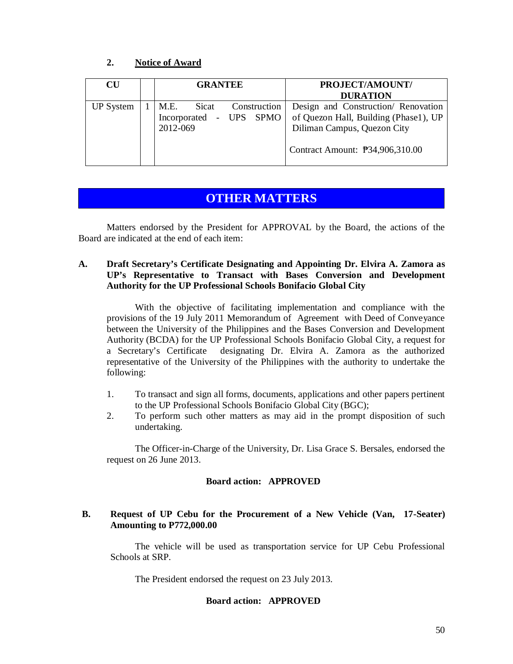## **2. Notice of Award**

| $\mathbf{C}\mathbf{U}$ | <b>GRANTEE</b>          | PROJECT/AMOUNT/                        |
|------------------------|-------------------------|----------------------------------------|
|                        |                         | <b>DURATION</b>                        |
| <b>UP</b> System       | M.E. Sicat Construction | Design and Construction/ Renovation    |
|                        | Incorporated - UPS SPMO | of Quezon Hall, Building (Phase1), UP  |
|                        | 2012-069                | Diliman Campus, Quezon City            |
|                        |                         | Contract Amount: <b>P34,906,310.00</b> |
|                        |                         |                                        |

## **OTHER MATTERS**

Matters endorsed by the President for APPROVAL by the Board, the actions of the Board are indicated at the end of each item:

## **A. Draft Secretary's Certificate Designating and Appointing Dr. Elvira A. Zamora as UP's Representative to Transact with Bases Conversion and Development Authority for the UP Professional Schools Bonifacio Global City**

With the objective of facilitating implementation and compliance with the provisions of the 19 July 2011 Memorandum of Agreement with Deed of Conveyance between the University of the Philippines and the Bases Conversion and Development Authority (BCDA) for the UP Professional Schools Bonifacio Global City, a request for a Secretary's Certificate designating Dr. Elvira A. Zamora as the authorized representative of the University of the Philippines with the authority to undertake the following:

- 1. To transact and sign all forms, documents, applications and other papers pertinent to the UP Professional Schools Bonifacio Global City (BGC);
- 2. To perform such other matters as may aid in the prompt disposition of such undertaking.

The Officer-in-Charge of the University, Dr. Lisa Grace S. Bersales, endorsed the request on 26 June 2013.

## **Board action: APPROVED**

## **B. Request of UP Cebu for the Procurement of a New Vehicle (Van, 17-Seater) Amounting to P772,000.00**

The vehicle will be used as transportation service for UP Cebu Professional Schools at SRP.

The President endorsed the request on 23 July 2013.

## **Board action: APPROVED**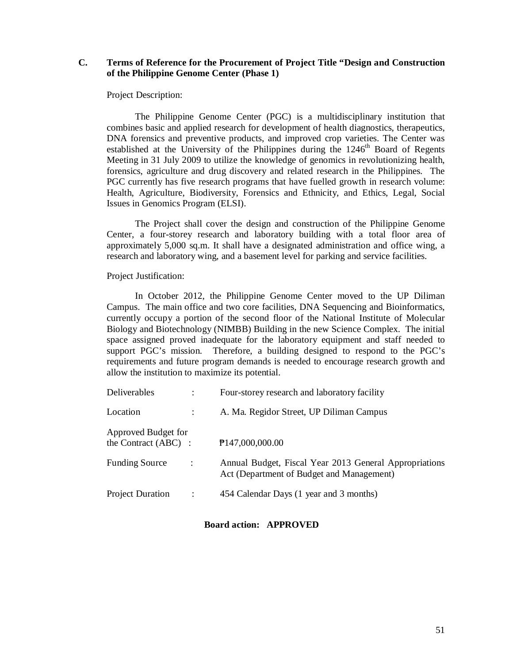## **C. Terms of Reference for the Procurement of Project Title "Design and Construction of the Philippine Genome Center (Phase 1)**

Project Description:

The Philippine Genome Center (PGC) is a multidisciplinary institution that combines basic and applied research for development of health diagnostics, therapeutics, DNA forensics and preventive products, and improved crop varieties. The Center was established at the University of the Philippines during the  $1246<sup>th</sup>$  Board of Regents Meeting in 31 July 2009 to utilize the knowledge of genomics in revolutionizing health, forensics, agriculture and drug discovery and related research in the Philippines. The PGC currently has five research programs that have fuelled growth in research volume: Health, Agriculture, Biodiversity, Forensics and Ethnicity, and Ethics, Legal, Social Issues in Genomics Program (ELSI).

The Project shall cover the design and construction of the Philippine Genome Center, a four-storey research and laboratory building with a total floor area of approximately 5,000 sq.m. It shall have a designated administration and office wing, a research and laboratory wing, and a basement level for parking and service facilities.

Project Justification:

In October 2012, the Philippine Genome Center moved to the UP Diliman Campus. The main office and two core facilities, DNA Sequencing and Bioinformatics, currently occupy a portion of the second floor of the National Institute of Molecular Biology and Biotechnology (NIMBB) Building in the new Science Complex. The initial space assigned proved inadequate for the laboratory equipment and staff needed to support PGC's mission. Therefore, a building designed to respond to the PGC's requirements and future program demands is needed to encourage research growth and allow the institution to maximize its potential.

|                                             | Four-storey research and laboratory facility                                                        |
|---------------------------------------------|-----------------------------------------------------------------------------------------------------|
|                                             | A. Ma. Regidor Street, UP Diliman Campus                                                            |
| Approved Budget for<br>the Contract (ABC) : | P147,000,000.00                                                                                     |
| $\cdot$ :                                   | Annual Budget, Fiscal Year 2013 General Appropriations<br>Act (Department of Budget and Management) |
|                                             | 454 Calendar Days (1 year and 3 months)                                                             |
|                                             |                                                                                                     |

**Board action: APPROVED**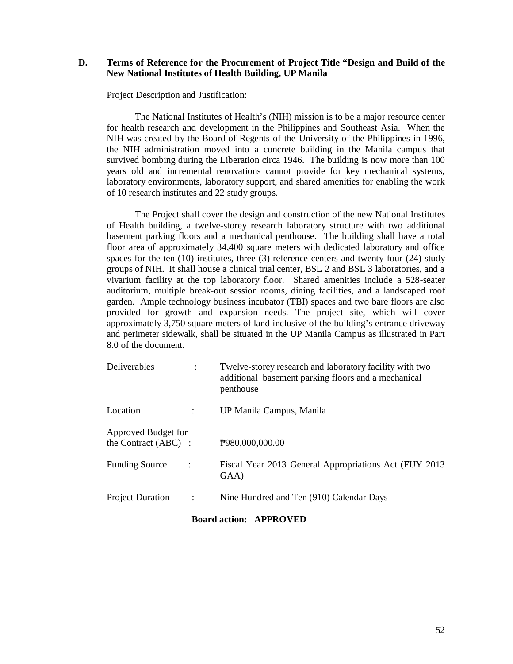## **D. Terms of Reference for the Procurement of Project Title "Design and Build of the New National Institutes of Health Building, UP Manila**

Project Description and Justification:

The National Institutes of Health's (NIH) mission is to be a major resource center for health research and development in the Philippines and Southeast Asia. When the NIH was created by the Board of Regents of the University of the Philippines in 1996, the NIH administration moved into a concrete building in the Manila campus that survived bombing during the Liberation circa 1946. The building is now more than 100 years old and incremental renovations cannot provide for key mechanical systems, laboratory environments, laboratory support, and shared amenities for enabling the work of 10 research institutes and 22 study groups.

The Project shall cover the design and construction of the new National Institutes of Health building, a twelve-storey research laboratory structure with two additional basement parking floors and a mechanical penthouse. The building shall have a total floor area of approximately 34,400 square meters with dedicated laboratory and office spaces for the ten (10) institutes, three (3) reference centers and twenty-four (24) study groups of NIH. It shall house a clinical trial center, BSL 2 and BSL 3 laboratories, and a vivarium facility at the top laboratory floor. Shared amenities include a 528-seater auditorium, multiple break-out session rooms, dining facilities, and a landscaped roof garden. Ample technology business incubator (TBI) spaces and two bare floors are also provided for growth and expansion needs. The project site, which will cover approximately 3,750 square meters of land inclusive of the building's entrance driveway and perimeter sidewalk, shall be situated in the UP Manila Campus as illustrated in Part 8.0 of the document.

| Deliverables                                |                | Twelve-storey research and laboratory facility with two<br>additional basement parking floors and a mechanical<br>penthouse |
|---------------------------------------------|----------------|-----------------------------------------------------------------------------------------------------------------------------|
| Location                                    |                | UP Manila Campus, Manila                                                                                                    |
| Approved Budget for<br>the Contract (ABC) : |                | P980,000,000.00                                                                                                             |
| <b>Funding Source</b>                       | ÷              | Fiscal Year 2013 General Appropriations Act (FUY 2013<br>GAA)                                                               |
| <b>Project Duration</b>                     | $\ddot{\cdot}$ | Nine Hundred and Ten (910) Calendar Days                                                                                    |

#### **Board action: APPROVED**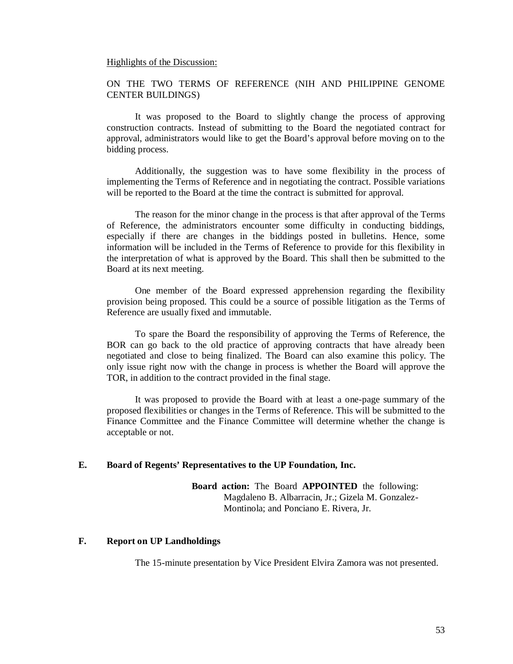#### Highlights of the Discussion:

## ON THE TWO TERMS OF REFERENCE (NIH AND PHILIPPINE GENOME CENTER BUILDINGS)

It was proposed to the Board to slightly change the process of approving construction contracts. Instead of submitting to the Board the negotiated contract for approval, administrators would like to get the Board's approval before moving on to the bidding process.

Additionally, the suggestion was to have some flexibility in the process of implementing the Terms of Reference and in negotiating the contract. Possible variations will be reported to the Board at the time the contract is submitted for approval.

The reason for the minor change in the process is that after approval of the Terms of Reference, the administrators encounter some difficulty in conducting biddings, especially if there are changes in the biddings posted in bulletins. Hence, some information will be included in the Terms of Reference to provide for this flexibility in the interpretation of what is approved by the Board. This shall then be submitted to the Board at its next meeting.

One member of the Board expressed apprehension regarding the flexibility provision being proposed. This could be a source of possible litigation as the Terms of Reference are usually fixed and immutable.

To spare the Board the responsibility of approving the Terms of Reference, the BOR can go back to the old practice of approving contracts that have already been negotiated and close to being finalized. The Board can also examine this policy. The only issue right now with the change in process is whether the Board will approve the TOR, in addition to the contract provided in the final stage.

It was proposed to provide the Board with at least a one-page summary of the proposed flexibilities or changes in the Terms of Reference. This will be submitted to the Finance Committee and the Finance Committee will determine whether the change is acceptable or not.

### **E. Board of Regents' Representatives to the UP Foundation, Inc.**

**Board action:** The Board **APPOINTED** the following: Magdaleno B. Albarracin, Jr.; Gizela M. Gonzalez-Montinola; and Ponciano E. Rivera, Jr.

### **F. Report on UP Landholdings**

The 15-minute presentation by Vice President Elvira Zamora was not presented.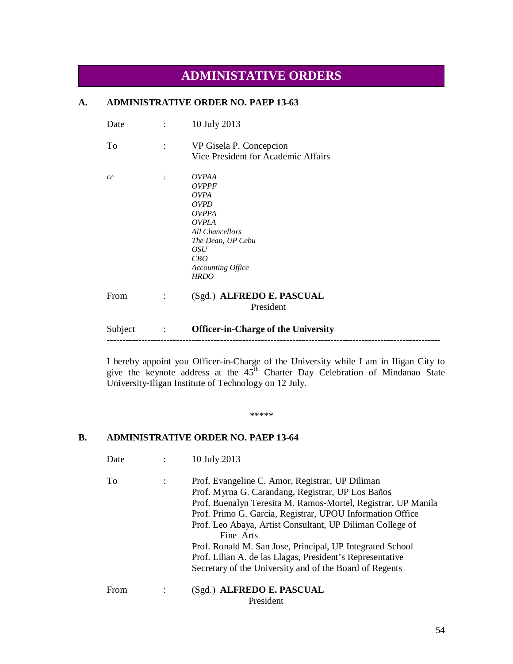## **ADMINISTATIVE ORDERS**

## **A. ADMINISTRATIVE ORDER NO. PAEP 13-63**

| Date |                | 10 July 2013                                                                                                                                                                                |
|------|----------------|---------------------------------------------------------------------------------------------------------------------------------------------------------------------------------------------|
| To   |                | VP Gisela P. Concepcion<br>Vice President for Academic Affairs                                                                                                                              |
| cc   | . $\dot{ }$    | <i>OVPAA</i><br><b>OVPPF</b><br><i>OVPA</i><br><i>OVPD</i><br><i>OVPPA</i><br><b>OVPLA</b><br>All Chancellors<br>The Dean, UP Cebu<br><i>OSU</i><br>CBO<br>Accounting Office<br><b>HRDO</b> |
| From | $\ddot{\cdot}$ | (Sgd.) ALFREDO E. PASCUAL<br>President                                                                                                                                                      |

Subject : **Officer-in-Charge of the University ----------------------------------------------------------------------------------------------------------**

I hereby appoint you Officer-in-Charge of the University while I am in Iligan City to give the keynote address at the  $45<sup>th</sup>$  Charter Day Celebration of Mindanao State University-Iligan Institute of Technology on 12 July.

\*\*\*\*\*

## **B. ADMINISTRATIVE ORDER NO. PAEP 13-64**

Date : 10 July 2013

To : Prof. Evangeline C. Amor, Registrar, UP Diliman Prof. Myrna G. Carandang, Registrar, UP Los Baños Prof. Buenalyn Teresita M. Ramos-Mortel, Registrar, UP Manila Prof. Primo G. Garcia, Registrar, UPOU Information Office Prof. Leo Abaya, Artist Consultant, UP Diliman College of Fine Arts Prof. Ronald M. San Jose, Principal, UP Integrated School Prof. Lilian A. de las Llagas, President's Representative Secretary of the University and of the Board of Regents From : (Sgd.) **ALFREDO E. PASCUAL** President

54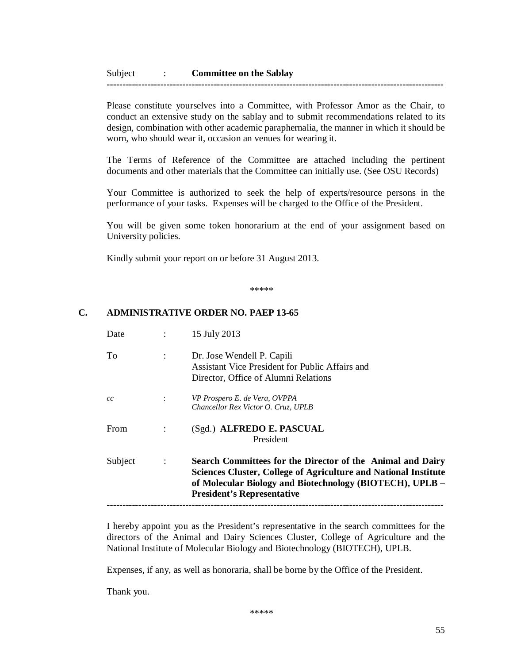**-----------------------------------------------------------------------------------------------------------**

Please constitute yourselves into a Committee, with Professor Amor as the Chair, to conduct an extensive study on the sablay and to submit recommendations related to its design, combination with other academic paraphernalia, the manner in which it should be worn, who should wear it, occasion an venues for wearing it.

The Terms of Reference of the Committee are attached including the pertinent documents and other materials that the Committee can initially use. (See OSU Records)

Your Committee is authorized to seek the help of experts/resource persons in the performance of your tasks. Expenses will be charged to the Office of the President.

You will be given some token honorarium at the end of your assignment based on University policies.

Kindly submit your report on or before 31 August 2013.

\*\*\*\*\*

## **C. ADMINISTRATIVE ORDER NO. PAEP 13-65**

| Date        |                | 15 July 2013                                                                                                                                                                                                                          |
|-------------|----------------|---------------------------------------------------------------------------------------------------------------------------------------------------------------------------------------------------------------------------------------|
| Tо          | $\ddot{\cdot}$ | Dr. Jose Wendell P. Capili<br>Assistant Vice President for Public Affairs and<br>Director, Office of Alumni Relations                                                                                                                 |
| cc          |                | VP Prospero E. de Vera, OVPPA<br>Chancellor Rex Victor O. Cruz, UPLB                                                                                                                                                                  |
| <b>From</b> | ÷              | (Sgd.) ALFREDO E. PASCUAL<br>President                                                                                                                                                                                                |
| Subject     |                | Search Committees for the Director of the Animal and Dairy<br><b>Sciences Cluster, College of Agriculture and National Institute</b><br>of Molecular Biology and Biotechnology (BIOTECH), UPLB -<br><b>President's Representative</b> |
|             |                |                                                                                                                                                                                                                                       |

I hereby appoint you as the President's representative in the search committees for the directors of the Animal and Dairy Sciences Cluster, College of Agriculture and the National Institute of Molecular Biology and Biotechnology (BIOTECH), UPLB.

Expenses, if any, as well as honoraria, shall be borne by the Office of the President.

Thank you.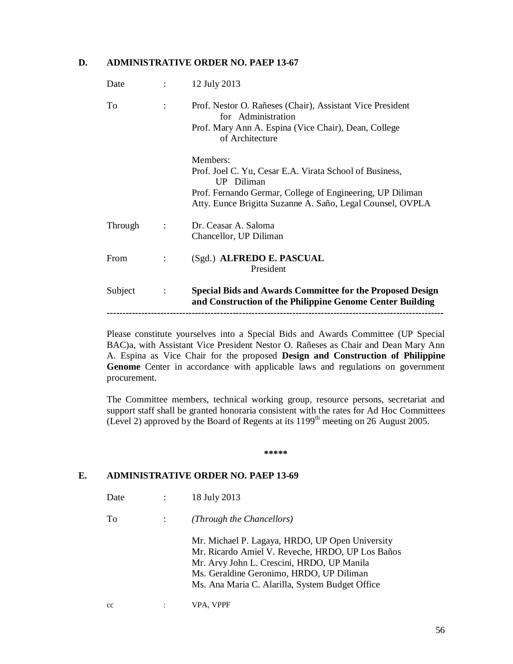## **D. ADMINISTRATIVE ORDER NO. PAEP 13-67**

| Date    | $\ddot{\cdot}$ | 12 July 2013                                                                                                                                               |
|---------|----------------|------------------------------------------------------------------------------------------------------------------------------------------------------------|
| To      |                | Prof. Nestor O. Rañeses (Chair), Assistant Vice President<br>for Administration<br>Prof. Mary Ann A. Espina (Vice Chair), Dean, College<br>of Architecture |
|         |                | Members:                                                                                                                                                   |
|         |                | Prof. Joel C. Yu, Cesar E.A. Virata School of Business,<br>UP Diliman                                                                                      |
|         |                | Prof. Fernando Germar, College of Engineering, UP Diliman<br>Atty. Eunce Brigitta Suzanne A. Saño, Legal Counsel, OVPLA                                    |
| Through | $\ddot{\cdot}$ | Dr. Ceasar A. Saloma                                                                                                                                       |
|         |                | Chancellor, UP Diliman                                                                                                                                     |
| From    | $\ddot{\cdot}$ | (Sgd.) ALFREDO E. PASCUAL<br>President                                                                                                                     |
| Subject | $\ddot{\cdot}$ | <b>Special Bids and Awards Committee for the Proposed Design</b><br>and Construction of the Philippine Genome Center Building                              |
|         |                |                                                                                                                                                            |

Please constitute yourselves into a Special Bids and Awards Committee (UP Special BAC)a, with Assistant Vice President Nestor O. Rañeses as Chair and Dean Mary Ann A. Espina as Vice Chair for the proposed **Design and Construction of Philippine**  Genome Center in accordance with applicable laws and regulations on government procurement.

The Committee members, technical working group, resource persons, secretariat and support staff shall be granted honoraria consistent with the rates for Ad Hoc Committees (Level 2) approved by the Board of Regents at its  $1199<sup>th</sup>$  meeting on 26 August 2005.

**\*\*\*\*\***

#### **E. ADMINISTRATIVE ORDER NO. PAEP 13-69**

| Date | 18 July 2013 |
|------|--------------|
|      |              |

To : *(Through the Chancellors)*

Mr. Michael P. Lagaya, HRDO, UP Open University Mr. Ricardo Amiel V. Reveche, HRDO, UP Los Baños Mr. Arvy John L. Crescini, HRDO, UP Manila Ms. Geraldine Geronimo, HRDO, UP Diliman Ms. Ana Maria C. Alarilla, System Budget Office

cc : VPA, VPPF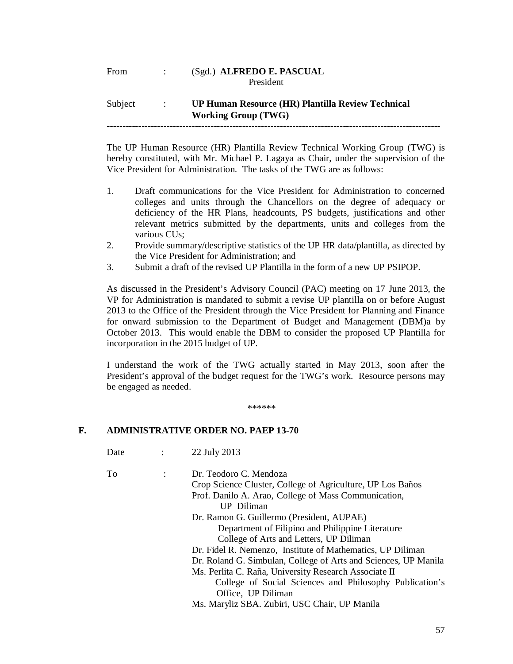## From : (Sgd.) **ALFREDO E. PASCUAL** President

#### Subject : **UP Human Resource (HR) Plantilla Review Technical Working Group (TWG) ----------------------------------------------------------------------------------------------------------**

The UP Human Resource (HR) Plantilla Review Technical Working Group (TWG) is

hereby constituted, with Mr. Michael P. Lagaya as Chair, under the supervision of the Vice President for Administration. The tasks of the TWG are as follows:

- 1. Draft communications for the Vice President for Administration to concerned colleges and units through the Chancellors on the degree of adequacy or deficiency of the HR Plans, headcounts, PS budgets, justifications and other relevant metrics submitted by the departments, units and colleges from the various CUs;
- 2. Provide summary/descriptive statistics of the UP HR data/plantilla, as directed by the Vice President for Administration; and
- 3. Submit a draft of the revised UP Plantilla in the form of a new UP PSIPOP.

As discussed in the President's Advisory Council (PAC) meeting on 17 June 2013, the VP for Administration is mandated to submit a revise UP plantilla on or before August 2013 to the Office of the President through the Vice President for Planning and Finance for onward submission to the Department of Budget and Management (DBM)a by October 2013. This would enable the DBM to consider the proposed UP Plantilla for incorporation in the 2015 budget of UP.

I understand the work of the TWG actually started in May 2013, soon after the President's approval of the budget request for the TWG's work. Resource persons may be engaged as needed.

\*\*\*\*\*\*

## **F. ADMINISTRATIVE ORDER NO. PAEP 13-70**

| Date | 22 July 2013 |
|------|--------------|
|      |              |

| Dr. Teodoro C. Mendoza                                          |
|-----------------------------------------------------------------|
| Crop Science Cluster, College of Agriculture, UP Los Baños      |
| Prof. Danilo A. Arao, College of Mass Communication,            |
| UP Diliman                                                      |
| Dr. Ramon G. Guillermo (President, AUPAE)                       |
| Department of Filipino and Philippine Literature                |
| College of Arts and Letters, UP Diliman                         |
| Dr. Fidel R. Nemenzo, Institute of Mathematics, UP Diliman      |
| Dr. Roland G. Simbulan, College of Arts and Sciences, UP Manila |
| Ms. Perlita C. Raña, University Research Associate II           |
| College of Social Sciences and Philosophy Publication's         |
| Office, UP Diliman                                              |
| Ms. Maryliz SBA. Zubiri, USC Chair, UP Manila                   |
|                                                                 |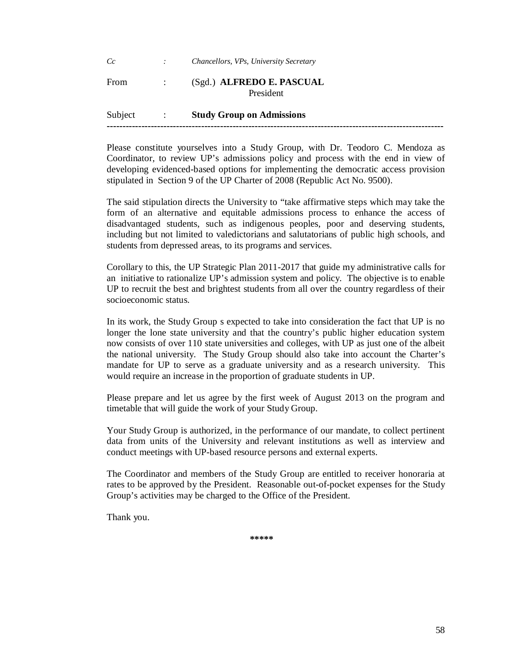# *Cc : Chancellors, VPs, University Secretary* From : (Sgd.) **ALFREDO E. PASCUAL** President

Subject : **Study Group on Admissions -----------------------------------------------------------------------------------------------------------**

Please constitute yourselves into a Study Group, with Dr. Teodoro C. Mendoza as Coordinator, to review UP's admissions policy and process with the end in view of developing evidenced-based options for implementing the democratic access provision stipulated in Section 9 of the UP Charter of 2008 (Republic Act No. 9500).

The said stipulation directs the University to "take affirmative steps which may take the form of an alternative and equitable admissions process to enhance the access of disadvantaged students, such as indigenous peoples, poor and deserving students, including but not limited to valedictorians and salutatorians of public high schools, and students from depressed areas, to its programs and services.

Corollary to this, the UP Strategic Plan 2011-2017 that guide my administrative calls for an initiative to rationalize UP's admission system and policy. The objective is to enable UP to recruit the best and brightest students from all over the country regardless of their socioeconomic status.

In its work, the Study Group s expected to take into consideration the fact that UP is no longer the lone state university and that the country's public higher education system now consists of over 110 state universities and colleges, with UP as just one of the albeit the national university. The Study Group should also take into account the Charter's mandate for UP to serve as a graduate university and as a research university. This would require an increase in the proportion of graduate students in UP.

Please prepare and let us agree by the first week of August 2013 on the program and timetable that will guide the work of your Study Group.

Your Study Group is authorized, in the performance of our mandate, to collect pertinent data from units of the University and relevant institutions as well as interview and conduct meetings with UP-based resource persons and external experts.

The Coordinator and members of the Study Group are entitled to receiver honoraria at rates to be approved by the President. Reasonable out-of-pocket expenses for the Study Group's activities may be charged to the Office of the President.

Thank you.

**\*\*\*\*\***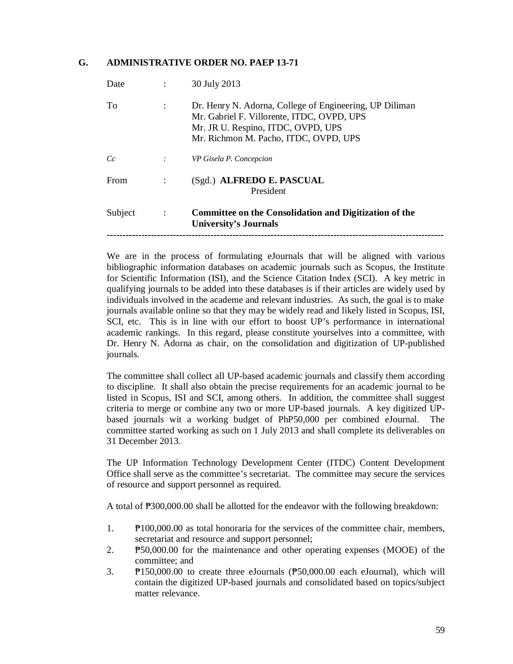## **G. ADMINISTRATIVE ORDER NO. PAEP 13-71**

| Subject | $\ddot{\cdot}$       | Committee on the Consolidation and Digitization of the<br><b>University's Journals</b>                                                                                               |
|---------|----------------------|--------------------------------------------------------------------------------------------------------------------------------------------------------------------------------------|
| From    |                      | (Sgd.) ALFREDO E. PASCUAL<br>President                                                                                                                                               |
| Cc      | ÷                    | VP Gisela P. Concepcion                                                                                                                                                              |
| To      | $\ddot{\phantom{a}}$ | Dr. Henry N. Adorna, College of Engineering, UP Diliman<br>Mr. Gabriel F. Villorente, ITDC, OVPD, UPS<br>Mr. JR U. Respino, ITDC, OVPD, UPS<br>Mr. Richmon M. Pacho, ITDC, OVPD, UPS |
| Date    |                      | 30 July 2013                                                                                                                                                                         |

We are in the process of formulating eJournals that will be aligned with various bibliographic information databases on academic journals such as Scopus, the Institute for Scientific Information (ISI), and the Science Citation Index (SCI). A key metric in qualifying journals to be added into these databases is if their articles are widely used by individuals involved in the academe and relevant industries. As such, the goal is to make journals available online so that they may be widely read and likely listed in Scopus, ISI, SCI, etc. This is in line with our effort to boost UP's performance in international academic rankings. In this regard, please constitute yourselves into a committee, with Dr. Henry N. Adorna as chair, on the consolidation and digitization of UP-published journals.

The committee shall collect all UP-based academic journals and classify them according to discipline. It shall also obtain the precise requirements for an academic journal to be listed in Scopus, ISI and SCI, among others. In addition, the committee shall suggest criteria to merge or combine any two or more UP-based journals. A key digitized UPbased journals wit a working budget of PhP50,000 per combined eJournal. The committee started working as such on 1 July 2013 and shall complete its deliverables on 31 December 2013.

The UP Information Technology Development Center (ITDC) Content Development Office shall serve as the committee's secretariat. The committee may secure the services of resource and support personnel as required.

A total of ₱300,000.00 shall be allotted for the endeavor with the following breakdown:

- 1. ₱100,000.00 as total honoraria for the services of the committee chair, members, secretariat and resource and support personnel;
- 2. ₱50,000.00 for the maintenance and other operating expenses (MOOE) of the committee; and
- 3. ₱150,000.00 to create three eJournals (₱50,000.00 each eJournal), which will contain the digitized UP-based journals and consolidated based on topics/subject matter relevance.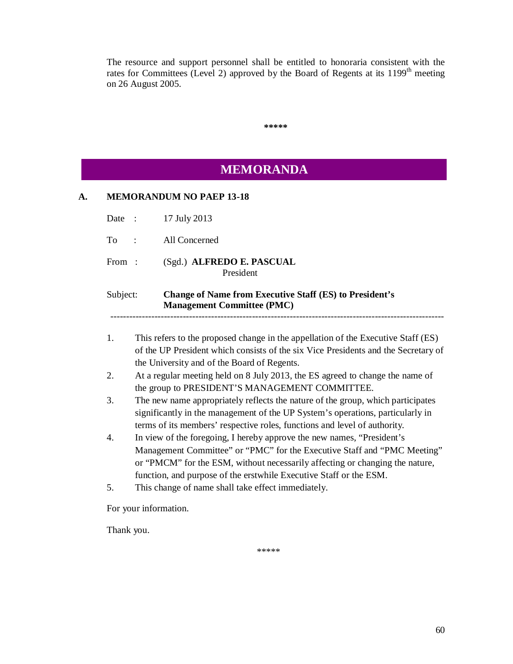The resource and support personnel shall be entitled to honoraria consistent with the rates for Committees (Level 2) approved by the Board of Regents at its  $1199<sup>th</sup>$  meeting on 26 August 2005.

|          | <b>MEMORANDA</b>                                                                                                                                                                                                                               |  |
|----------|------------------------------------------------------------------------------------------------------------------------------------------------------------------------------------------------------------------------------------------------|--|
|          | <b>MEMORANDUM NO PAEP 13-18</b>                                                                                                                                                                                                                |  |
| Date :   | 17 July 2013                                                                                                                                                                                                                                   |  |
| To       | All Concerned<br>$\ddot{\cdot}$                                                                                                                                                                                                                |  |
| From:    | (Sgd.) ALFREDO E. PASCUAL<br>President                                                                                                                                                                                                         |  |
| Subject: | <b>Change of Name from Executive Staff (ES) to President's</b><br><b>Management Committee (PMC)</b>                                                                                                                                            |  |
| 1.       | This refers to the proposed change in the appellation of the Executive Staff (ES)<br>of the UP President which consists of the six Vice Presidents and the Secretary of<br>the University and of the Board of Regents.                         |  |
| 2.       | At a regular meeting held on 8 July 2013, the ES agreed to change the name of<br>the group to PRESIDENT'S MANAGEMENT COMMITTEE.                                                                                                                |  |
| 3.       | The new name appropriately reflects the nature of the group, which participates<br>significantly in the management of the UP System's operations, particularly in<br>terms of its members' respective roles, functions and level of authority. |  |
| 4.       | In view of the foregoing, I hereby approve the new names, "President's<br>Management Committee" or "PMC" for the Executive Staff and "PMC Meeting"<br>or "PMCM" for the ESM, without necessarily affecting or changing the nature,             |  |
|          | function, and purpose of the erstwhile Executive Staff or the ESM.                                                                                                                                                                             |  |

Thank you.

\*\*\*\*\*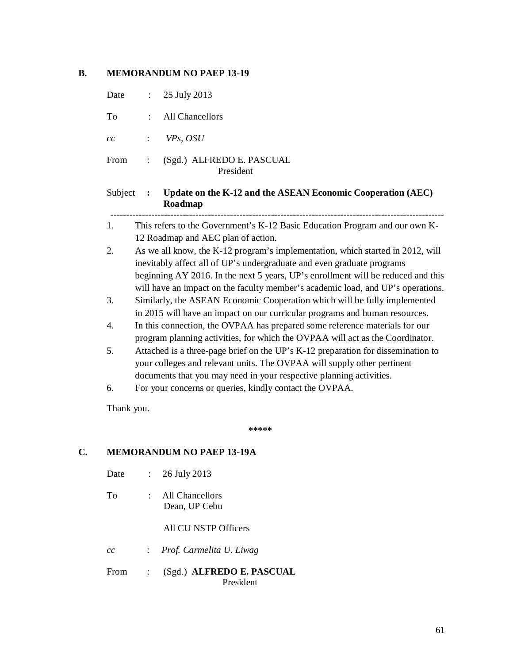## **B. MEMORANDUM NO PAEP 13-19**

| Date    | $\ddot{\cdot}$ | 25 July 2013                                                                                                                                                                                                                                                                                                                    |
|---------|----------------|---------------------------------------------------------------------------------------------------------------------------------------------------------------------------------------------------------------------------------------------------------------------------------------------------------------------------------|
| To      |                | All Chancellors                                                                                                                                                                                                                                                                                                                 |
| cc      |                | VPs, OSU                                                                                                                                                                                                                                                                                                                        |
| From    |                | (Sgd.) ALFREDO E. PASCUAL<br>President                                                                                                                                                                                                                                                                                          |
| Subject | $\cdot$ :      | Update on the K-12 and the ASEAN Economic Cooperation (AEC)<br>Roadmap                                                                                                                                                                                                                                                          |
| 1.      |                | This refers to the Government's K-12 Basic Education Program and our own K-<br>12 Roadmap and AEC plan of action.                                                                                                                                                                                                               |
| 2.      |                | As we all know, the K-12 program's implementation, which started in 2012, will<br>inevitably affect all of UP's undergraduate and even graduate programs<br>beginning AY 2016. In the next 5 years, UP's enrollment will be reduced and this<br>will have an impact on the faculty member's academic load, and UP's operations. |
| 3.      |                | Similarly, the ASEAN Economic Cooperation which will be fully implemented<br>in 2015 will have an impact on our curricular programs and human resources.                                                                                                                                                                        |
| 4.      |                | In this connection, the OVPAA has prepared some reference materials for our<br>program planning activities, for which the OVPAA will act as the Coordinator.                                                                                                                                                                    |
| 5.      |                | Attached is a three-page brief on the UP's K-12 preparation for dissemination to<br>your colleges and relevant units. The OVPAA will supply other pertinent<br>documents that you may need in your respective planning activities.                                                                                              |
| 6.      |                | For your concerns or queries, kindly contact the OVPAA.                                                                                                                                                                                                                                                                         |
| ---     |                |                                                                                                                                                                                                                                                                                                                                 |

Thank you.

 **\*\*\*\*\***

## **C. MEMORANDUM NO PAEP 13-19A**

- Date : 26 July 2013
- To : All Chancellors Dean, UP Cebu

All CU NSTP Officers

- *cc* : *Prof. Carmelita U. Liwag*
- From : (Sgd.) **ALFREDO E. PASCUAL** President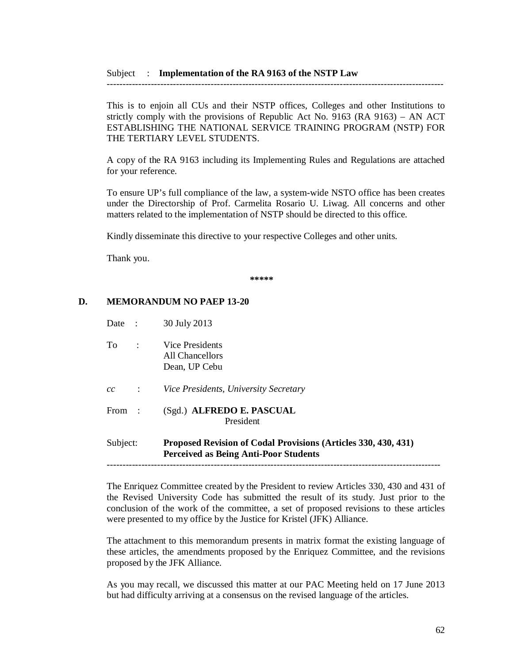This is to enjoin all CUs and their NSTP offices, Colleges and other Institutions to strictly comply with the provisions of Republic Act No. 9163 (RA 9163) – AN ACT ESTABLISHING THE NATIONAL SERVICE TRAINING PROGRAM (NSTP) FOR THE TERTIARY LEVEL STUDENTS.

-----------------------------------------------------------------------------------------------------------

A copy of the RA 9163 including its Implementing Rules and Regulations are attached for your reference.

To ensure UP's full compliance of the law, a system-wide NSTO office has been creates under the Directorship of Prof. Carmelita Rosario U. Liwag. All concerns and other matters related to the implementation of NSTP should be directed to this office.

Kindly disseminate this directive to your respective Colleges and other units.

Thank you.

**\*\*\*\*\***

## **D. MEMORANDUM NO PAEP 13-20**

| Subject: |                      | Proposed Revision of Codal Provisions (Articles 330, 430, 431)<br><b>Perceived as Being Anti-Poor Students</b> |
|----------|----------------------|----------------------------------------------------------------------------------------------------------------|
| From     | $\ddot{\phantom{0}}$ | (Sgd.) ALFREDO E. PASCUAL<br>President                                                                         |
| cc       |                      | Vice Presidents, University Secretary                                                                          |
| To       | $\ddot{\phantom{a}}$ | Vice Presidents<br>All Chancellors<br>Dean, UP Cebu                                                            |
| Date     |                      | 30 July 2013                                                                                                   |

----------------------------------------------------------------------------------------------------------

The Enriquez Committee created by the President to review Articles 330, 430 and 431 of the Revised University Code has submitted the result of its study. Just prior to the conclusion of the work of the committee, a set of proposed revisions to these articles were presented to my office by the Justice for Kristel (JFK) Alliance.

The attachment to this memorandum presents in matrix format the existing language of these articles, the amendments proposed by the Enriquez Committee, and the revisions proposed by the JFK Alliance.

As you may recall, we discussed this matter at our PAC Meeting held on 17 June 2013 but had difficulty arriving at a consensus on the revised language of the articles.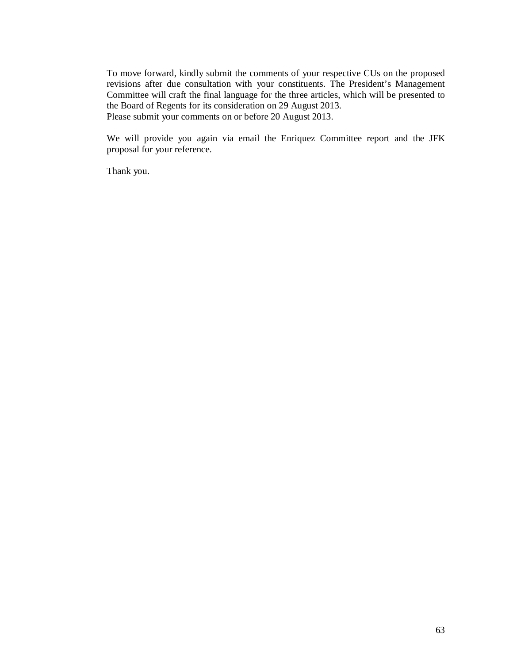To move forward, kindly submit the comments of your respective CUs on the proposed revisions after due consultation with your constituents. The President's Management Committee will craft the final language for the three articles, which will be presented to the Board of Regents for its consideration on 29 August 2013. Please submit your comments on or before 20 August 2013.

We will provide you again via email the Enriquez Committee report and the JFK proposal for your reference.

Thank you.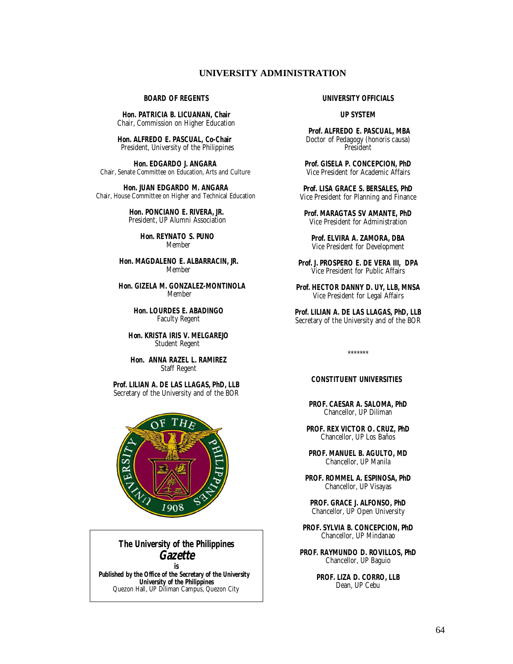## **UNIVERSITY ADMINISTRATION**

#### **BOARD OF REGENTS**

**Hon. PATRICIA B. LICUANAN, Chair** Chair, Commission on Higher Education

 **Hon. ALFREDO E. PASCUAL, Co-Chair** President, University of the Philippines

 **Hon. EDGARDO J. ANGARA** Chair, Senate Committee on Education, Arts and Culture

 **Hon. JUAN EDGARDO M. ANGARA** Chair, House Committee on Higher and Technical Education

> **Hon. PONCIANO E. RIVERA, JR.** President, UP Alumni Association

> > **Hon. REYNATO S. PUNO** Member

 **Hon. MAGDALENO E. ALBARRACIN, JR.** Member

 **Hon. GIZELA M. GONZALEZ-MONTINOLA Memher** 

> **Hon. LOURDES E. ABADINGO** Faculty Regent

 **Hon. KRISTA IRIS V. MELGAREJO** Student Regent

 **Hon. ANNA RAZEL L. RAMIREZ** Staff Regent

**Prof. LILIAN A. DE LAS LLAGAS, PhD, LLB** Secretary of the University and of the BOR



**The University of the Philippines**  *Gazette* **is**

 **Published by the Office of the Secretary of the University University of the Philippines** Quezon Hall, UP Diliman Campus, Quezon City

#### **UNIVERSITY OFFICIALS**

#### **UP SYSTEM**

**Prof. ALFREDO E. PASCUAL, MBA**  Doctor of Pedagogy (honoris causa) President

**Prof. GISELA P. CONCEPCION, PhD** Vice President for Academic Affairs

**Prof. LISA GRACE S. BERSALES, PhD** Vice President for Planning and Finance

**Prof. MARAGTAS SV AMANTE, PhD** Vice President for Administration

**Prof. ELVIRA A. ZAMORA, DBA** Vice President for Development

**Prof. J. PROSPERO E. DE VERA III, DPA** Vice President for Public Affairs

**Prof. HECTOR DANNY D. UY, LLB, MNSA** Vice President for Legal Affairs

**Prof. LILIAN A. DE LAS LLAGAS, PhD, LLB** Secretary of the University and of the BOR

\*\*\*\*\*\*\*

#### **CONSTITUENT UNIVERSITIES**

**PROF. CAESAR A. SALOMA, PhD** Chancellor, UP Diliman

**PROF. REX VICTOR O. CRUZ, PhD** Chancellor, UP Los Baños

**PROF. MANUEL B. AGULTO, MD** Chancellor, UP Manila

**PROF. ROMMEL A. ESPINOSA, PhD** Chancellor, UP Visayas

**PROF. GRACE J. ALFONSO, PhD** Chancellor, UP Open University

**PROF. SYLVIA B. CONCEPCION, PhD** Chancellor, UP Mindanao

**PROF. RAYMUNDO D. ROVILLOS, PhD** Chancellor, UP Baguio

> **PROF. LIZA D. CORRO, LLB** Dean, UP Cebu